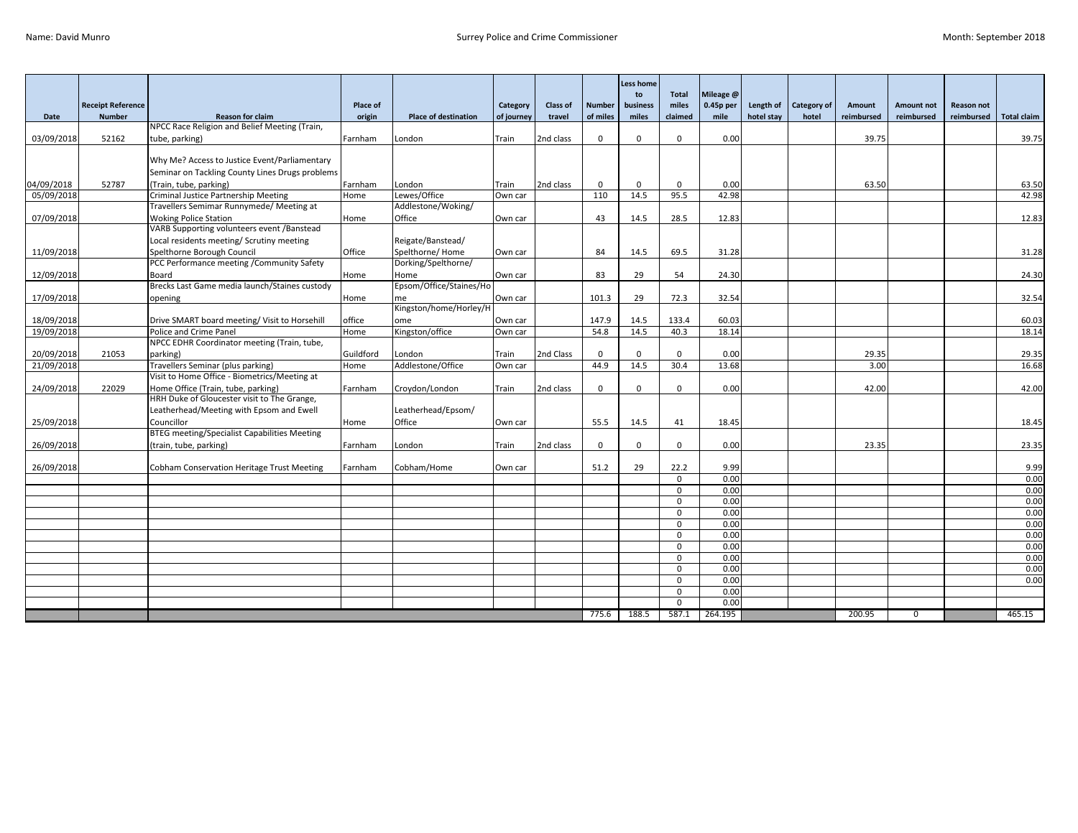|                          |                          |                                                                            |                   |                             |                  |                 |                     | <b>Less home</b>    |                         |                        |            |                    |               |             |                   |                    |
|--------------------------|--------------------------|----------------------------------------------------------------------------|-------------------|-----------------------------|------------------|-----------------|---------------------|---------------------|-------------------------|------------------------|------------|--------------------|---------------|-------------|-------------------|--------------------|
|                          | <b>Receipt Reference</b> |                                                                            | Place of          |                             | Category         | <b>Class of</b> | <b>Number</b>       | to<br>business      | <b>Total</b><br>miles   | Mileage @<br>0.45p per | Length of  | <b>Category of</b> | Amount        | Amount not  | <b>Reason not</b> |                    |
| Date                     | <b>Number</b>            | <b>Reason for claim</b>                                                    | origin            | <b>Place of destination</b> | of journey       | travel          | of miles            | miles               | claimed                 | mile                   | hotel stay | hotel              | reimbursed    | reimbursed  | reimbursed        | <b>Total claim</b> |
|                          |                          | NPCC Race Religion and Belief Meeting (Train,                              |                   |                             |                  |                 |                     |                     |                         |                        |            |                    |               |             |                   |                    |
| 03/09/2018               | 52162                    | tube, parking)                                                             | Farnham           | London                      | Train            | 2nd class       | $\mathbf 0$         | $\Omega$            | $\Omega$                | 0.00                   |            |                    | 39.75         |             |                   | 39.75              |
|                          |                          | Why Me? Access to Justice Event/Parliamentary                              |                   |                             |                  |                 |                     |                     |                         |                        |            |                    |               |             |                   |                    |
|                          |                          | Seminar on Tackling County Lines Drugs problems                            |                   |                             |                  |                 |                     |                     |                         |                        |            |                    |               |             |                   |                    |
| 04/09/2018               | 52787                    | (Train, tube, parking)                                                     | Farnham           | London                      | Train            | 2nd class       | $\mathbf 0$         | $\Omega$            | $\Omega$                | 0.00                   |            |                    | 63.50         |             |                   | 63.50              |
| 05/09/2018               |                          | Criminal Justice Partnership Meeting                                       | Home              | Lewes/Office                | Own car          |                 | 110                 | 14.5                | 95.5                    | 42.98                  |            |                    |               |             |                   | 42.98              |
|                          |                          | Travellers Semimar Runnymede/ Meeting at                                   |                   | Addlestone/Woking/          |                  |                 |                     |                     |                         |                        |            |                    |               |             |                   |                    |
| 07/09/2018               |                          | <b>Woking Police Station</b><br>VARB Supporting volunteers event /Banstead | Home              | Office                      | Own car          |                 | 43                  | 14.5                | 28.5                    | 12.83                  |            |                    |               |             |                   | 12.83              |
|                          |                          | Local residents meeting/ Scrutiny meeting                                  |                   | Reigate/Banstead/           |                  |                 |                     |                     |                         |                        |            |                    |               |             |                   |                    |
| 11/09/2018               |                          | Spelthorne Borough Council                                                 | Office            | Spelthorne/Home             | Own car          |                 | 84                  | 14.5                | 69.5                    | 31.28                  |            |                    |               |             |                   | 31.28              |
|                          |                          | PCC Performance meeting / Community Safety                                 |                   | Dorking/Spelthorne/         |                  |                 |                     |                     |                         |                        |            |                    |               |             |                   |                    |
| 12/09/2018               |                          | Board                                                                      | Home              | Home                        | Own car          |                 | 83                  | 29                  | 54                      | 24.30                  |            |                    |               |             |                   | 24.30              |
|                          |                          | Brecks Last Game media launch/Staines custody                              |                   | Epsom/Office/Staines/Ho     |                  |                 |                     |                     |                         |                        |            |                    |               |             |                   |                    |
| 17/09/2018               |                          | opening                                                                    | Home              | me                          | Own car          |                 | 101.3               | 29                  | 72.3                    | 32.54                  |            |                    |               |             |                   | 32.54              |
|                          |                          |                                                                            |                   | Kingston/home/Horley/H      |                  |                 |                     |                     |                         |                        |            |                    |               |             |                   |                    |
| 18/09/2018               |                          | Drive SMART board meeting/ Visit to Horsehill                              | office            | ome                         | Own car          |                 | 147.9               | 14.5                | 133.4                   | 60.03                  |            |                    |               |             |                   | 60.03              |
| 19/09/2018               |                          | Police and Crime Panel                                                     | Home              | Kingston/office             | Own car          |                 | 54.8                | 14.5                | 40.3                    | 18.14                  |            |                    |               |             |                   | 18.14              |
|                          |                          | NPCC EDHR Coordinator meeting (Train, tube,                                |                   |                             |                  |                 |                     |                     | $\Omega$                |                        |            |                    |               |             |                   |                    |
| 20/09/2018<br>21/09/2018 | 21053                    | parking)<br>Travellers Seminar (plus parking)                              | Guildford<br>Home | London<br>Addlestone/Office | Train<br>Own car | 2nd Class       | $\mathbf 0$<br>44.9 | $\mathbf 0$<br>14.5 | 30.4                    | 0.00<br>13.68          |            |                    | 29.35<br>3.00 |             |                   | 29.35<br>16.68     |
|                          |                          | Visit to Home Office - Biometrics/Meeting at                               |                   |                             |                  |                 |                     |                     |                         |                        |            |                    |               |             |                   |                    |
| 24/09/2018               | 22029                    | Home Office (Train, tube, parking)                                         | Farnham           | Croydon/London              | Train            | 2nd class       | $\mathbf 0$         | $\mathbf{0}$        | $\mathbf{0}$            | 0.00                   |            |                    | 42.00         |             |                   | 42.00              |
|                          |                          | HRH Duke of Gloucester visit to The Grange,                                |                   |                             |                  |                 |                     |                     |                         |                        |            |                    |               |             |                   |                    |
|                          |                          | Leatherhead/Meeting with Epsom and Ewell                                   |                   | Leatherhead/Epsom/          |                  |                 |                     |                     |                         |                        |            |                    |               |             |                   |                    |
| 25/09/2018               |                          | Councillor                                                                 | Home              | Office                      | Own car          |                 | 55.5                | 14.5                | 41                      | 18.45                  |            |                    |               |             |                   | 18.45              |
|                          |                          | <b>BTEG</b> meeting/Specialist Capabilities Meeting                        |                   |                             |                  |                 |                     |                     |                         |                        |            |                    |               |             |                   |                    |
| 26/09/2018               |                          | (train, tube, parking)                                                     | Farnham           | London                      | Train            | 2nd class       | $\Omega$            | $\Omega$            | $\Omega$                | 0.00                   |            |                    | 23.35         |             |                   | 23.35              |
|                          |                          |                                                                            | Farnham           | Cobham/Home                 | Own car          |                 | 51.2                | 29                  | 22.2                    | 9.99                   |            |                    |               |             |                   | 9.99               |
| 26/09/2018               |                          | Cobham Conservation Heritage Trust Meeting                                 |                   |                             |                  |                 |                     |                     | $\Omega$                | 0.00                   |            |                    |               |             |                   | 0.00               |
|                          |                          |                                                                            |                   |                             |                  |                 |                     |                     | $\mathbf 0$             | 0.00                   |            |                    |               |             |                   | 0.00               |
|                          |                          |                                                                            |                   |                             |                  |                 |                     |                     | $\mathbf{0}$            | 0.00                   |            |                    |               |             |                   | 0.00               |
|                          |                          |                                                                            |                   |                             |                  |                 |                     |                     | $\Omega$                | 0.00                   |            |                    |               |             |                   | 0.00               |
|                          |                          |                                                                            |                   |                             |                  |                 |                     |                     | $\Omega$                | 0.00                   |            |                    |               |             |                   | 0.00               |
|                          |                          |                                                                            |                   |                             |                  |                 |                     |                     | $\Omega$                | 0.00                   |            |                    |               |             |                   | 0.00               |
|                          |                          |                                                                            |                   |                             |                  |                 |                     |                     | $\Omega$                | 0.00                   |            |                    |               |             |                   | 0.00               |
|                          |                          |                                                                            |                   |                             |                  |                 |                     |                     | $\Omega$                | 0.00                   |            |                    |               |             |                   | 0.00               |
|                          |                          |                                                                            |                   |                             |                  |                 |                     |                     | $\mathbf 0$<br>$\Omega$ | 0.00<br>0.00           |            |                    |               |             |                   | 0.00<br>0.00       |
|                          |                          |                                                                            |                   |                             |                  |                 |                     |                     | $\Omega$                | 0.00                   |            |                    |               |             |                   |                    |
|                          |                          |                                                                            |                   |                             |                  |                 |                     |                     | $\Omega$                | 0.00                   |            |                    |               |             |                   |                    |
|                          |                          |                                                                            |                   |                             |                  |                 | 775.6               | 188.5               | 587.1                   | 264.195                |            |                    | 200.95        | $\mathbf 0$ |                   | 465.15             |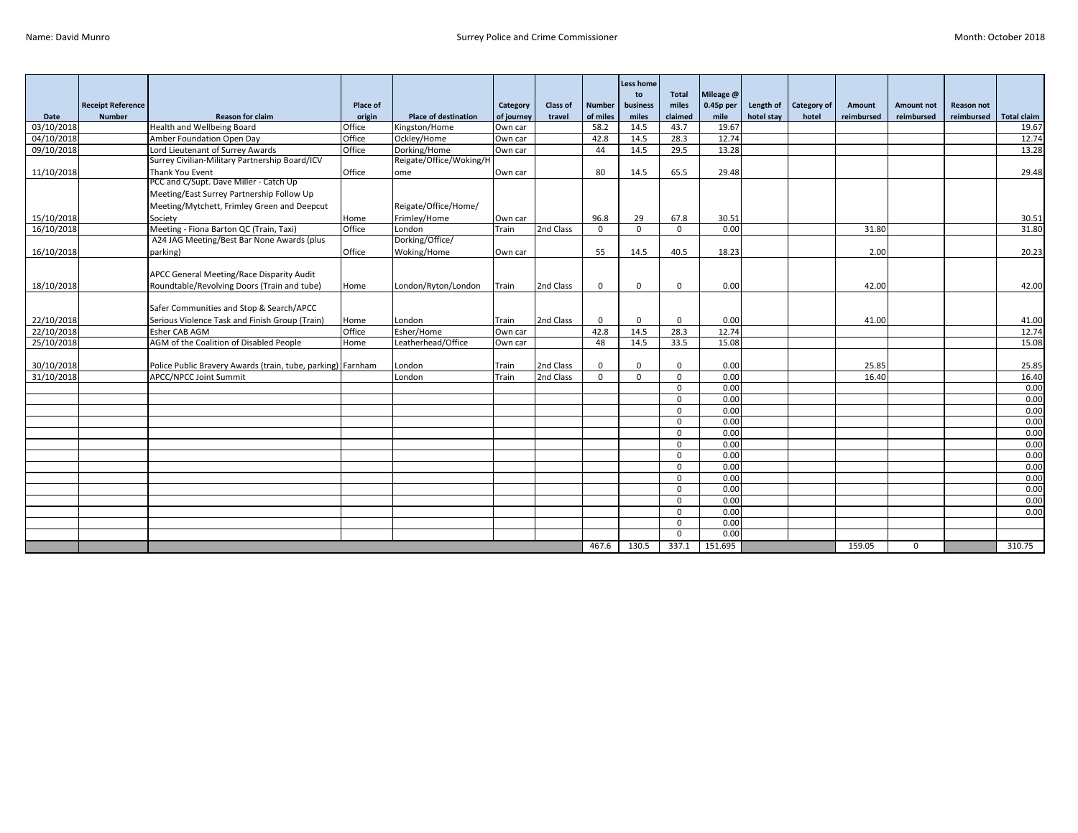|            |                          |                                                             |                    |                             |                        |                 |               | <b>Less home</b> |                       |                        |            |             |                      |                                 |                                 |                    |
|------------|--------------------------|-------------------------------------------------------------|--------------------|-----------------------------|------------------------|-----------------|---------------|------------------|-----------------------|------------------------|------------|-------------|----------------------|---------------------------------|---------------------------------|--------------------|
|            | <b>Receipt Reference</b> |                                                             |                    |                             |                        | <b>Class of</b> | <b>Number</b> | to<br>business   | <b>Total</b><br>miles | Mileage @<br>0.45p per | Length of  | Category of |                      |                                 |                                 |                    |
| Date       | <b>Number</b>            | <b>Reason for claim</b>                                     | Place of<br>origin | <b>Place of destination</b> | Category<br>of journey | travel          | of miles      | miles            | claimed               | mile                   | hotel stay | hotel       | Amount<br>reimbursed | <b>Amount not</b><br>reimbursed | <b>Reason not</b><br>reimbursed | <b>Total claim</b> |
| 03/10/2018 |                          | Health and Wellbeing Board                                  | Office             | Kingston/Home               | Own car                |                 | 58.2          | 14.5             | 43.7                  | 19.67                  |            |             |                      |                                 |                                 | 19.67              |
| 04/10/2018 |                          | Amber Foundation Open Day                                   | Office             | Ockley/Home                 | Own car                |                 | 42.8          | 14.5             | 28.3                  | 12.74                  |            |             |                      |                                 |                                 | 12.74              |
| 09/10/2018 |                          | Lord Lieutenant of Surrey Awards                            | Office             | Dorking/Home                | Own car                |                 | 44            | 14.5             | 29.5                  | 13.28                  |            |             |                      |                                 |                                 | 13.28              |
|            |                          | Surrey Civilian-Military Partnership Board/ICV              |                    | Reigate/Office/Woking/H     |                        |                 |               |                  |                       |                        |            |             |                      |                                 |                                 |                    |
| 11/10/2018 |                          | Thank You Event                                             | Office             | ome                         | Own car                |                 | 80            | 14.5             | 65.5                  | 29.48                  |            |             |                      |                                 |                                 | 29.48              |
|            |                          | PCC and C/Supt. Dave Miller - Catch Up                      |                    |                             |                        |                 |               |                  |                       |                        |            |             |                      |                                 |                                 |                    |
|            |                          | Meeting/East Surrey Partnership Follow Up                   |                    |                             |                        |                 |               |                  |                       |                        |            |             |                      |                                 |                                 |                    |
|            |                          | Meeting/Mytchett, Frimley Green and Deepcut                 |                    | Reigate/Office/Home/        |                        |                 |               |                  |                       |                        |            |             |                      |                                 |                                 |                    |
| 15/10/2018 |                          | Society                                                     | Home               | Frimley/Home                | Own car                |                 | 96.8          | 29               | 67.8                  | 30.51                  |            |             |                      |                                 |                                 | 30.51              |
| 16/10/2018 |                          | Meeting - Fiona Barton QC (Train, Taxi)                     | Office             | London                      | Train                  | 2nd Class       | $\Omega$      | $\mathbf{0}$     | $\Omega$              | 0.00                   |            |             | 31.80                |                                 |                                 | 31.80              |
|            |                          | A24 JAG Meeting/Best Bar None Awards (plus                  |                    | Dorking/Office/             |                        |                 |               |                  |                       |                        |            |             |                      |                                 |                                 |                    |
| 16/10/2018 |                          | parking)                                                    | Office             | Woking/Home                 | Own car                |                 | 55            | 14.5             | 40.5                  | 18.23                  |            |             | 2.00                 |                                 |                                 | 20.23              |
|            |                          |                                                             |                    |                             |                        |                 |               |                  |                       |                        |            |             |                      |                                 |                                 |                    |
|            |                          | APCC General Meeting/Race Disparity Audit                   |                    |                             |                        |                 |               |                  |                       |                        |            |             |                      |                                 |                                 |                    |
| 18/10/2018 |                          | Roundtable/Revolving Doors (Train and tube)                 | Home               | London/Ryton/London         | Train                  | 2nd Class       | $\mathbf 0$   | $\mathbf 0$      | $\mathbf{0}$          | 0.00                   |            |             | 42.00                |                                 |                                 | 42.00              |
|            |                          |                                                             |                    |                             |                        |                 |               |                  |                       |                        |            |             |                      |                                 |                                 |                    |
|            |                          | Safer Communities and Stop & Search/APCC                    |                    |                             |                        |                 |               |                  |                       |                        |            |             |                      |                                 |                                 |                    |
| 22/10/2018 |                          | Serious Violence Task and Finish Group (Train)              | Home               | London                      | Train                  | 2nd Class       | $\mathbf 0$   | $\Omega$         | $\Omega$              | 0.00                   |            |             | 41.00                |                                 |                                 | 41.00              |
| 22/10/2018 |                          | Esher CAB AGM                                               | Office             | Esher/Home                  | Own car                |                 | 42.8          | 14.5             | 28.3                  | 12.74                  |            |             |                      |                                 |                                 | 12.74              |
| 25/10/2018 |                          | AGM of the Coalition of Disabled People                     | Home               | Leatherhead/Office          | Own car                |                 | 48            | 14.5             | 33.5                  | 15.08                  |            |             |                      |                                 |                                 | 15.08              |
|            |                          |                                                             |                    |                             |                        |                 |               |                  |                       |                        |            |             |                      |                                 |                                 |                    |
| 30/10/2018 |                          | Police Public Bravery Awards (train, tube, parking) Farnham |                    | London                      | Train                  | 2nd Class       | $\mathbf 0$   | $\Omega$         | $\Omega$              | 0.00                   |            |             | 25.85                |                                 |                                 | 25.85              |
| 31/10/2018 |                          | APCC/NPCC Joint Summit                                      |                    | London                      | Train                  | 2nd Class       | $\Omega$      | $\Omega$         | $\Omega$              | 0.00                   |            |             | 16.40                |                                 |                                 | 16.40              |
|            |                          |                                                             |                    |                             |                        |                 |               |                  | $\Omega$              | 0.00                   |            |             |                      |                                 |                                 | 0.00               |
|            |                          |                                                             |                    |                             |                        |                 |               |                  | $\Omega$              | 0.00                   |            |             |                      |                                 |                                 | 0.00               |
|            |                          |                                                             |                    |                             |                        |                 |               |                  | $\Omega$              | 0.00                   |            |             |                      |                                 |                                 | 0.00               |
|            |                          |                                                             |                    |                             |                        |                 |               |                  | $\Omega$              | 0.00                   |            |             |                      |                                 |                                 | 0.00               |
|            |                          |                                                             |                    |                             |                        |                 |               |                  | $\Omega$              | 0.00                   |            |             |                      |                                 |                                 | 0.00               |
|            |                          |                                                             |                    |                             |                        |                 |               |                  | $\Omega$              | 0.00                   |            |             |                      |                                 |                                 | 0.00               |
|            |                          |                                                             |                    |                             |                        |                 |               |                  | $\Omega$              | 0.00                   |            |             |                      |                                 |                                 | 0.00               |
|            |                          |                                                             |                    |                             |                        |                 |               |                  | $\Omega$              | 0.00                   |            |             |                      |                                 |                                 | 0.00               |
|            |                          |                                                             |                    |                             |                        |                 |               |                  | $\Omega$<br>$\Omega$  | 0.00                   |            |             |                      |                                 |                                 | 0.00               |
|            |                          |                                                             |                    |                             |                        |                 |               |                  |                       | 0.00                   |            |             |                      |                                 |                                 | 0.00               |
|            |                          |                                                             |                    |                             |                        |                 |               |                  | $\Omega$              | 0.00                   |            |             |                      |                                 |                                 | 0.00<br>0.00       |
|            |                          |                                                             |                    |                             |                        |                 |               |                  | $\Omega$<br>$\Omega$  | 0.00<br>0.00           |            |             |                      |                                 |                                 |                    |
|            |                          |                                                             |                    |                             |                        |                 |               |                  | $\Omega$              | 0.00                   |            |             |                      |                                 |                                 |                    |
|            |                          |                                                             |                    |                             |                        |                 | 467.6         | 130.5            | 337.1                 | 151.695                |            |             | 159.05               | $\Omega$                        |                                 | 310.75             |
|            |                          |                                                             |                    |                             |                        |                 |               |                  |                       |                        |            |             |                      |                                 |                                 |                    |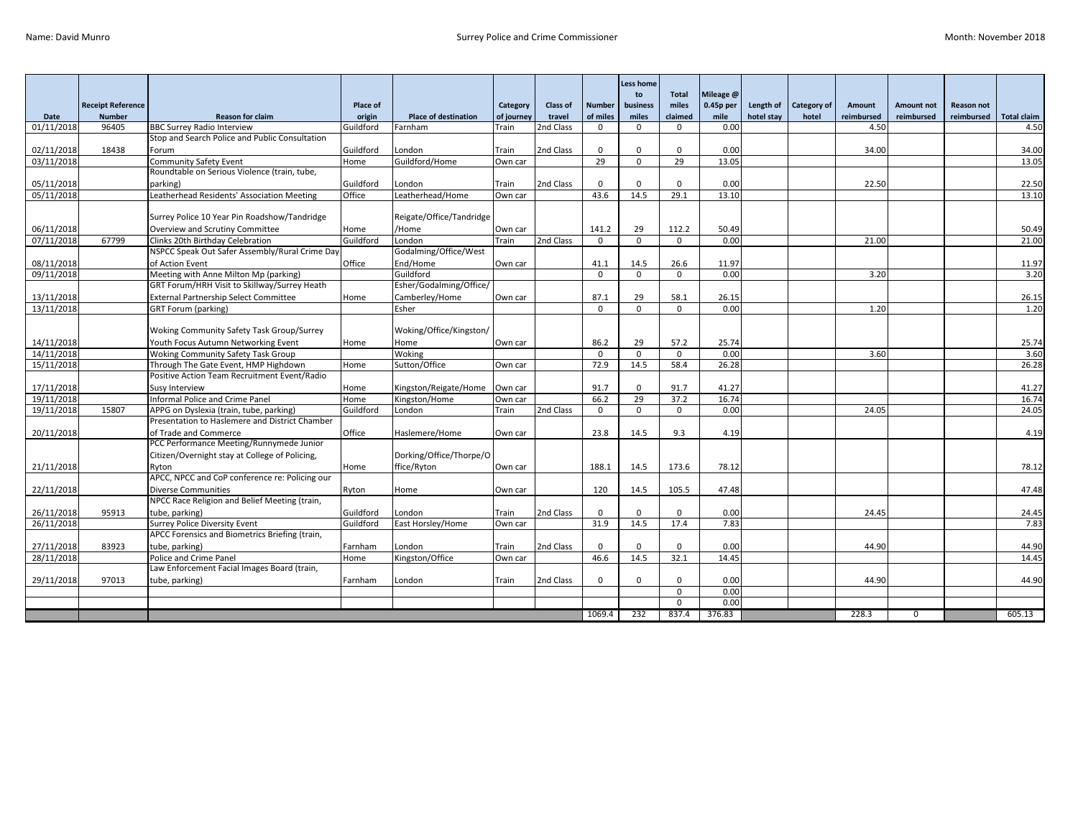|            |                                           |                                                                                        |                    |                               |                        |                    |                           | Less home         |                       |                   |                         |                      |                      |                                 |                                 |                    |
|------------|-------------------------------------------|----------------------------------------------------------------------------------------|--------------------|-------------------------------|------------------------|--------------------|---------------------------|-------------------|-----------------------|-------------------|-------------------------|----------------------|----------------------|---------------------------------|---------------------------------|--------------------|
|            |                                           |                                                                                        |                    |                               |                        |                    |                           | to                | <b>Total</b><br>miles | Mileage @         |                         |                      |                      |                                 |                                 |                    |
| Date       | <b>Receipt Reference</b><br><b>Number</b> | <b>Reason for claim</b>                                                                | Place of<br>origin | <b>Place of destination</b>   | Category<br>of journey | Class of<br>travel | <b>Number</b><br>of miles | business<br>miles | claimed               | 0.45p per<br>mile | Length of<br>hotel stay | Category of<br>hotel | Amount<br>reimbursed | <b>Amount not</b><br>reimbursed | <b>Reason not</b><br>reimbursed | <b>Total claim</b> |
| 01/11/2018 | 96405                                     | <b>BBC Surrey Radio Interview</b>                                                      | Guildford          | Farnham                       | Train                  | 2nd Class          | $\Omega$                  | $\Omega$          |                       | 0.00              |                         |                      | 4.50                 |                                 |                                 | 4.50               |
|            |                                           | Stop and Search Police and Public Consultation                                         |                    |                               |                        |                    |                           |                   |                       |                   |                         |                      |                      |                                 |                                 |                    |
| 02/11/2018 | 18438                                     | Forum                                                                                  | Guildford          | London                        | Train                  | 2nd Class          | $\mathbf 0$               | $\Omega$          | $\Omega$              | 0.00              |                         |                      | 34.00                |                                 |                                 | 34.00              |
| 03/11/2018 |                                           | Community Safety Event                                                                 | Home               | Guildford/Home                | Own car                |                    | 29                        | $\Omega$          | 29                    | 13.05             |                         |                      |                      |                                 |                                 | 13.05              |
|            |                                           | Roundtable on Serious Violence (train, tube,                                           |                    |                               |                        |                    |                           |                   |                       |                   |                         |                      |                      |                                 |                                 |                    |
| 05/11/2018 |                                           | parking)                                                                               | Guildford          | London                        | Train                  | 2nd Class          | $\Omega$                  | $\Omega$          | $\Omega$              | 0.00              |                         |                      | 22.50                |                                 |                                 | 22.50              |
| 05/11/2018 |                                           | Leatherhead Residents' Association Meeting                                             | Office             | Leatherhead/Home              | Own car                |                    | 43.6                      | 14.5              | 29.1                  | 13.10             |                         |                      |                      |                                 |                                 | 13.10              |
|            |                                           |                                                                                        |                    |                               |                        |                    |                           |                   |                       |                   |                         |                      |                      |                                 |                                 |                    |
|            |                                           | Surrey Police 10 Year Pin Roadshow/Tandridge                                           |                    | Reigate/Office/Tandridge      |                        |                    |                           |                   |                       |                   |                         |                      |                      |                                 |                                 |                    |
| 06/11/2018 |                                           | Overview and Scrutiny Committee                                                        | Home               | /Home                         | Own car                |                    | 141.2                     | 29                | 112.2                 | 50.49             |                         |                      |                      |                                 |                                 | 50.49              |
| 07/11/2018 | 67799                                     | Clinks 20th Birthday Celebration                                                       | Guildford          | London                        | Train                  | 2nd Class          | $\Omega$                  | $\Omega$          | $\Omega$              | 0.00              |                         |                      | 21.00                |                                 |                                 | 21.00              |
|            |                                           | NSPCC Speak Out Safer Assembly/Rural Crime Day                                         |                    | Godalming/Office/West         |                        |                    |                           |                   |                       |                   |                         |                      |                      |                                 |                                 |                    |
| 08/11/2018 |                                           | of Action Event                                                                        | Office             | End/Home                      | Own car                |                    | 41.1                      | 14.5              | 26.6                  | 11.97             |                         |                      |                      |                                 |                                 | 11.97              |
| 09/11/2018 |                                           | Meeting with Anne Milton Mp (parking)                                                  |                    | Guildford                     |                        |                    | $\Omega$                  | $\Omega$          | $\Omega$              | 0.00              |                         |                      | 3.20                 |                                 |                                 | 3.20               |
|            |                                           | GRT Forum/HRH Visit to Skillway/Surrey Heath                                           |                    | Esher/Godalming/Office/       |                        |                    |                           |                   |                       |                   |                         |                      |                      |                                 |                                 |                    |
| 13/11/2018 |                                           | <b>External Partnership Select Committee</b>                                           | Home               | Camberley/Home                | Own car                |                    | 87.1                      | 29                | 58.1                  | 26.15             |                         |                      |                      |                                 |                                 | 26.15              |
| 13/11/2018 |                                           | <b>GRT Forum (parking)</b>                                                             |                    | Esher                         |                        |                    | $\mathbf 0$               | $\mathbf{0}$      | $\mathbf{0}$          | 0.00              |                         |                      | 1.20                 |                                 |                                 | 1.20               |
|            |                                           |                                                                                        |                    |                               |                        |                    |                           |                   |                       |                   |                         |                      |                      |                                 |                                 |                    |
|            |                                           | Woking Community Safety Task Group/Surrey                                              |                    | Woking/Office/Kingston/       |                        |                    |                           |                   |                       |                   |                         |                      |                      |                                 |                                 |                    |
| 14/11/2018 |                                           | Youth Focus Autumn Networking Event                                                    | Home               | Home                          | Own car                |                    | 86.2                      | 29                | 57.2                  | 25.74             |                         |                      |                      |                                 |                                 | 25.74              |
| 14/11/2018 |                                           | <b>Woking Community Safety Task Group</b>                                              |                    | Woking                        |                        |                    | $\mathbf 0$               | $\mathbf 0$       | $\mathbf 0$           | 0.00              |                         |                      | 3.60                 |                                 |                                 | 3.60               |
| 15/11/2018 |                                           | Through The Gate Event, HMP Highdown                                                   | Home               | Sutton/Office                 | Own car                |                    | 72.9                      | 14.5              | 58.4                  | 26.28             |                         |                      |                      |                                 |                                 | 26.28              |
|            |                                           | Positive Action Team Recruitment Event/Radio                                           |                    |                               |                        |                    |                           |                   |                       |                   |                         |                      |                      |                                 |                                 |                    |
| 17/11/2018 |                                           | Susy Interview                                                                         | Home               | Kingston/Reigate/Home Own car |                        |                    | 91.7                      | $\Omega$          | 91.7                  | 41.27             |                         |                      |                      |                                 |                                 | 41.27              |
| 19/11/2018 |                                           | Informal Police and Crime Panel                                                        | Home               | Kingston/Home                 | Own car                |                    | 66.2                      | 29                | 37.2                  | 16.74             |                         |                      |                      |                                 |                                 | 16.74              |
| 19/11/2018 | 15807                                     | APPG on Dyslexia (train, tube, parking)                                                | Guildford          | London                        | Train                  | 2nd Class          | $\Omega$                  | $\Omega$          | $\Omega$              | 0.00              |                         |                      | 24.05                |                                 |                                 | 24.05              |
|            |                                           | Presentation to Haslemere and District Chamber                                         |                    |                               |                        |                    |                           |                   |                       |                   |                         |                      |                      |                                 |                                 |                    |
| 20/11/2018 |                                           | of Trade and Commerce                                                                  | Office             | Haslemere/Home                | Own car                |                    | 23.8                      | 14.5              | 9.3                   | 4.19              |                         |                      |                      |                                 |                                 | 4.19               |
|            |                                           | PCC Performance Meeting/Runnymede Junior                                               |                    |                               |                        |                    |                           |                   |                       |                   |                         |                      |                      |                                 |                                 |                    |
|            |                                           | Citizen/Overnight stay at College of Policing,                                         |                    | Dorking/Office/Thorpe/O       |                        |                    |                           |                   |                       |                   |                         |                      |                      |                                 |                                 |                    |
| 21/11/2018 |                                           | Ryton                                                                                  | Home               | ffice/Ryton                   | Own car                |                    | 188.1                     | 14.5              | 173.6                 | 78.12             |                         |                      |                      |                                 |                                 | 78.12              |
|            |                                           | APCC, NPCC and CoP conference re: Policing our                                         |                    |                               |                        |                    |                           |                   |                       |                   |                         |                      |                      |                                 |                                 |                    |
| 22/11/2018 |                                           | <b>Diverse Communities</b><br>NPCC Race Religion and Belief Meeting (train,            | Ryton              | Home                          | Own car                |                    | 120                       | 14.5              | 105.5                 | 47.48             |                         |                      |                      |                                 |                                 | 47.48              |
|            |                                           |                                                                                        |                    |                               |                        |                    |                           |                   |                       |                   |                         |                      |                      |                                 |                                 |                    |
| 26/11/2018 | 95913                                     | tube, parking)                                                                         | Guildford          | London                        | Train                  | 2nd Class          | $\Omega$                  | $\Omega$<br>14.5  | $\Omega$<br>17.4      | 0.00<br>7.83      |                         |                      | 24.45                |                                 |                                 | 24.45<br>7.83      |
| 26/11/2018 |                                           | <b>Surrey Police Diversity Event</b><br>APCC Forensics and Biometrics Briefing (train, | Guildford          | East Horsley/Home             | Own car                |                    | 31.9                      |                   |                       |                   |                         |                      |                      |                                 |                                 |                    |
|            |                                           |                                                                                        |                    |                               |                        |                    |                           |                   |                       |                   |                         |                      |                      |                                 |                                 |                    |
| 27/11/2018 | 83923                                     | tube, parking)                                                                         | Farnham            | London                        | Train                  | 2nd Class          | $\mathbf 0$               | $\mathbf{0}$      | $\mathbf 0$           | 0.00              |                         |                      | 44.90                |                                 |                                 | 44.90              |
| 28/11/2018 |                                           | Police and Crime Panel<br>Law Enforcement Facial Images Board (train,                  | Home               | Kingston/Office               | Own car                |                    | 46.6                      | 14.5              | 32.1                  | 14.45             |                         |                      |                      |                                 |                                 | 14.45              |
|            | 97013                                     |                                                                                        |                    |                               |                        |                    |                           | $\Omega$          | $\Omega$              |                   |                         |                      | 44.90                |                                 |                                 |                    |
| 29/11/2018 |                                           | tube, parking)                                                                         | Farnham            | London                        | Train                  | 2nd Class          | $\mathbf 0$               |                   | $\Omega$              | 0.00<br>0.00      |                         |                      |                      |                                 |                                 | 44.90              |
|            |                                           |                                                                                        |                    |                               |                        |                    |                           |                   | $\Omega$              | 0.00              |                         |                      |                      |                                 |                                 |                    |
|            |                                           |                                                                                        |                    |                               |                        |                    | 1069.4                    | 232               | 837.4                 | 376.83            |                         |                      | 228.3                | $\mathbf{0}$                    |                                 | 605.13             |
|            |                                           |                                                                                        |                    |                               |                        |                    |                           |                   |                       |                   |                         |                      |                      |                                 |                                 |                    |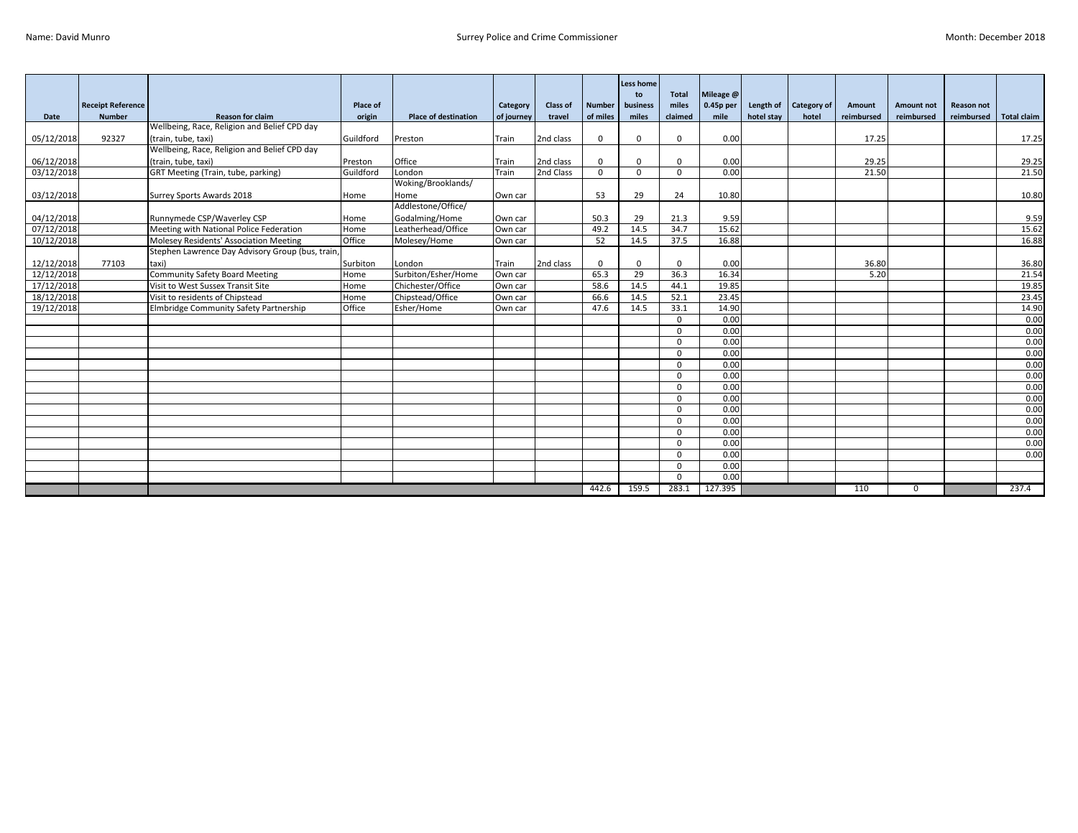|            |                          |                                                  |           |                             |            |                 |               | <b>Less home</b><br>to | <b>Total</b> | Mileage @   |                       |       |            |            |                   |                    |
|------------|--------------------------|--------------------------------------------------|-----------|-----------------------------|------------|-----------------|---------------|------------------------|--------------|-------------|-----------------------|-------|------------|------------|-------------------|--------------------|
|            | <b>Receipt Reference</b> |                                                  | Place of  |                             | Category   | <b>Class of</b> | <b>Number</b> | business               | miles        | $0.45p$ per | Length of Category of |       | Amount     | Amount not | <b>Reason not</b> |                    |
| Date       | <b>Number</b>            | <b>Reason for claim</b>                          | origin    | <b>Place of destination</b> | of journey | travel          | of miles      | miles                  | claimed      | mile        | hotel stay            | hotel | reimbursed | reimbursed | reimbursed        | <b>Total claim</b> |
|            |                          | Wellbeing, Race, Religion and Belief CPD day     |           |                             |            |                 |               |                        |              |             |                       |       |            |            |                   |                    |
| 05/12/2018 | 92327                    | (train, tube, taxi)                              | Guildford | Preston                     | Train      | 2nd class       | $\mathbf 0$   | $\Omega$               | $\Omega$     | 0.00        |                       |       | 17.25      |            |                   | 17.25              |
|            |                          | Wellbeing, Race, Religion and Belief CPD day     |           |                             |            |                 |               |                        |              |             |                       |       |            |            |                   |                    |
| 06/12/2018 |                          | (train, tube, taxi)                              | Preston   | Office                      | Train      | 2nd class       | $\mathbf{0}$  | $\Omega$               | $\Omega$     | 0.00        |                       |       | 29.25      |            |                   | 29.25              |
| 03/12/2018 |                          | GRT Meeting (Train, tube, parking)               | Guildford | London                      | Train      | 2nd Class       | $\Omega$      | $\Omega$               | $\Omega$     | 0.00        |                       |       | 21.50      |            |                   | 21.50              |
|            |                          |                                                  |           | Woking/Brooklands/          |            |                 |               |                        |              |             |                       |       |            |            |                   |                    |
| 03/12/2018 |                          | Surrey Sports Awards 2018                        | Home      | Home                        | Own car    |                 | 53            | 29                     | 24           | 10.80       |                       |       |            |            |                   | 10.80              |
|            |                          |                                                  |           | Addlestone/Office/          |            |                 |               |                        |              |             |                       |       |            |            |                   |                    |
| 04/12/2018 |                          | Runnymede CSP/Waverley CSP                       | Home      | Godalming/Home              | Own car    |                 | 50.3          | 29                     | 21.3         | 9.59        |                       |       |            |            |                   | 9.59               |
| 07/12/2018 |                          | Meeting with National Police Federation          | Home      | Leatherhead/Office          | Own car    |                 | 49.2          | 14.5                   | 34.7         | 15.62       |                       |       |            |            |                   | 15.62              |
| 10/12/2018 |                          | Molesey Residents' Association Meeting           | Office    | Molesey/Home                | Own car    |                 | 52            | 14.5                   | 37.5         | 16.88       |                       |       |            |            |                   | 16.88              |
|            |                          | Stephen Lawrence Day Advisory Group (bus, train, |           |                             |            |                 |               |                        |              |             |                       |       |            |            |                   |                    |
| 12/12/2018 | 77103                    | taxi)                                            | Surbiton  | London                      | Train      | 2nd class       | $\mathbf 0$   | $\mathbf 0$            | $\Omega$     | 0.00        |                       |       | 36.80      |            |                   | 36.80              |
| 12/12/2018 |                          | <b>Community Safety Board Meeting</b>            | Home      | Surbiton/Esher/Home         | Own car    |                 | 65.3          | 29                     | 36.3         | 16.34       |                       |       | 5.20       |            |                   | 21.54              |
| 17/12/2018 |                          | Visit to West Sussex Transit Site                | Home      | Chichester/Office           | Own car    |                 | 58.6          | 14.5                   | 44.1         | 19.85       |                       |       |            |            |                   | 19.85              |
| 18/12/2018 |                          | Visit to residents of Chipstead                  | Home      | Chipstead/Office            | Own car    |                 | 66.6          | 14.5                   | 52.1         | 23.45       |                       |       |            |            |                   | 23.45              |
| 19/12/2018 |                          | Elmbridge Community Safety Partnership           | Office    | Esher/Home                  | Own car    |                 | 47.6          | 14.5                   | 33.1         | 14.90       |                       |       |            |            |                   | 14.90              |
|            |                          |                                                  |           |                             |            |                 |               |                        | $\mathbf{0}$ | 0.00        |                       |       |            |            |                   | 0.00               |
|            |                          |                                                  |           |                             |            |                 |               |                        | $\Omega$     | 0.00        |                       |       |            |            |                   | 0.00               |
|            |                          |                                                  |           |                             |            |                 |               |                        | $\Omega$     | 0.00        |                       |       |            |            |                   | 0.00               |
|            |                          |                                                  |           |                             |            |                 |               |                        | $\Omega$     | 0.00        |                       |       |            |            |                   | 0.00               |
|            |                          |                                                  |           |                             |            |                 |               |                        | $\Omega$     | 0.00        |                       |       |            |            |                   | 0.00               |
|            |                          |                                                  |           |                             |            |                 |               |                        | $\Omega$     | 0.00        |                       |       |            |            |                   | 0.00               |
|            |                          |                                                  |           |                             |            |                 |               |                        | $\Omega$     | 0.00        |                       |       |            |            |                   | 0.00               |
|            |                          |                                                  |           |                             |            |                 |               |                        | $\Omega$     | 0.00        |                       |       |            |            |                   | 0.00               |
|            |                          |                                                  |           |                             |            |                 |               |                        | $\Omega$     | 0.00        |                       |       |            |            |                   | 0.00               |
|            |                          |                                                  |           |                             |            |                 |               |                        | $\Omega$     | 0.00        |                       |       |            |            |                   | 0.00               |
|            |                          |                                                  |           |                             |            |                 |               |                        | $\mathbf{0}$ | 0.00        |                       |       |            |            |                   | 0.00               |
|            |                          |                                                  |           |                             |            |                 |               |                        | $\Omega$     | 0.00        |                       |       |            |            |                   | 0.00               |
|            |                          |                                                  |           |                             |            |                 |               |                        | $\Omega$     | 0.00        |                       |       |            |            |                   | 0.00               |
|            |                          |                                                  |           |                             |            |                 |               |                        | $\Omega$     | 0.00        |                       |       |            |            |                   |                    |
|            |                          |                                                  |           |                             |            |                 |               |                        | $\Omega$     | 0.00        |                       |       |            |            |                   |                    |
|            |                          |                                                  |           |                             |            |                 | 442.6         | 159.5                  | 283.1        | 127.395     |                       |       | 110        | $\Omega$   |                   | 237.4              |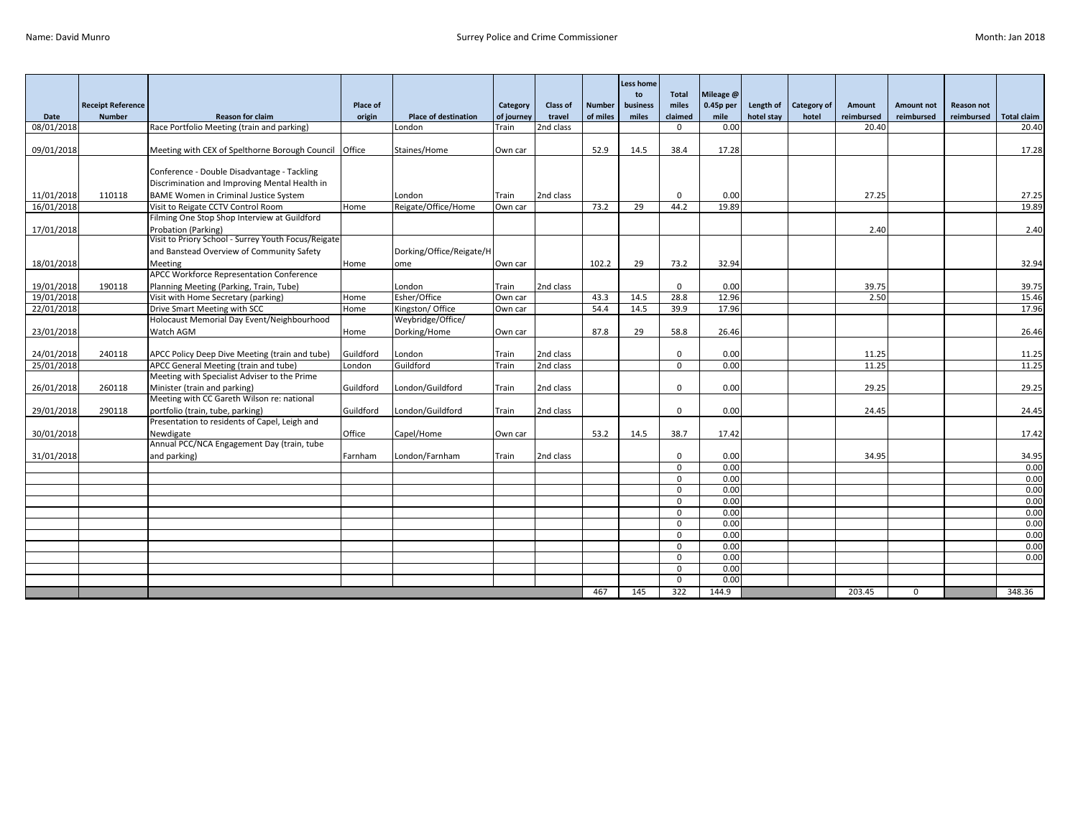|            |                                           |                                                                            |           |                                 |                        |                 |                           | Less home         |                         |                   |            |                             |            |                          |                                 |                |
|------------|-------------------------------------------|----------------------------------------------------------------------------|-----------|---------------------------------|------------------------|-----------------|---------------------------|-------------------|-------------------------|-------------------|------------|-----------------------------|------------|--------------------------|---------------------------------|----------------|
|            |                                           |                                                                            | Place of  |                                 |                        | <b>Class of</b> |                           | to                | Total<br>miles          | Mileage @         | Length of  |                             | Amount     |                          |                                 |                |
| Date       | <b>Receipt Reference</b><br><b>Number</b> | <b>Reason for claim</b>                                                    | origin    | <b>Place of destination</b>     | Category<br>of journey | travel          | <b>Number</b><br>of miles | business<br>miles | claimed                 | 0.45p per<br>mile | hotel stay | <b>Category of</b><br>hotel | reimbursed | Amount not<br>reimbursed | <b>Reason not</b><br>reimbursed | Total claim    |
| 08/01/2018 |                                           | Race Portfolio Meeting (train and parking)                                 |           | London                          | Train                  | 2nd class       |                           |                   | $\Omega$                | 0.00              |            |                             | 20.40      |                          |                                 | 20.40          |
|            |                                           |                                                                            |           |                                 |                        |                 |                           |                   |                         |                   |            |                             |            |                          |                                 |                |
| 09/01/2018 |                                           | Meeting with CEX of Spelthorne Borough Council Office                      |           | Staines/Home                    | Own car                |                 | 52.9                      | 14.5              | 38.4                    | 17.28             |            |                             |            |                          |                                 | 17.28          |
|            |                                           |                                                                            |           |                                 |                        |                 |                           |                   |                         |                   |            |                             |            |                          |                                 |                |
|            |                                           | Conference - Double Disadvantage - Tackling                                |           |                                 |                        |                 |                           |                   |                         |                   |            |                             |            |                          |                                 |                |
|            |                                           | Discrimination and Improving Mental Health in                              |           |                                 |                        |                 |                           |                   |                         |                   |            |                             |            |                          |                                 |                |
| 11/01/2018 | 110118                                    | <b>BAME Women in Criminal Justice System</b>                               |           | London                          | Train                  | 2nd class       |                           |                   | $\Omega$                | 0.00              |            |                             | 27.25      |                          |                                 | 27.25          |
| 16/01/2018 |                                           | Visit to Reigate CCTV Control Room                                         | Home      | Reigate/Office/Home             | Own car                |                 | 73.2                      | 29                | 44.2                    | 19.89             |            |                             |            |                          |                                 | 19.89          |
|            |                                           | Filming One Stop Shop Interview at Guildford                               |           |                                 |                        |                 |                           |                   |                         |                   |            |                             |            |                          |                                 |                |
| 17/01/2018 |                                           | Probation (Parking)                                                        |           |                                 |                        |                 |                           |                   |                         |                   |            |                             | 2.40       |                          |                                 | 2.40           |
|            |                                           | Visit to Priory School - Surrey Youth Focus/Reigate                        |           |                                 |                        |                 |                           |                   |                         |                   |            |                             |            |                          |                                 |                |
|            |                                           | and Banstead Overview of Community Safety                                  |           | Dorking/Office/Reigate/H        |                        |                 |                           |                   |                         |                   |            |                             |            |                          |                                 |                |
| 18/01/2018 |                                           | Meeting                                                                    | Home      | ome                             | Own car                |                 | 102.2                     | 29                | 73.2                    | 32.94             |            |                             |            |                          |                                 | 32.94          |
|            |                                           | <b>APCC Workforce Representation Conference</b>                            |           |                                 |                        |                 |                           |                   |                         |                   |            |                             |            |                          |                                 |                |
| 19/01/2018 | 190118                                    | Planning Meeting (Parking, Train, Tube)                                    |           | London                          | Train                  | 2nd class       |                           |                   | $\mathbf 0$             | 0.00              |            |                             | 39.75      |                          |                                 | 39.75          |
| 19/01/2018 |                                           | Visit with Home Secretary (parking)                                        | Home      | Esher/Office<br>Kingston/Office | Own car                |                 | 43.3                      | 14.5              | 28.8                    | 12.96<br>17.96    |            |                             | 2.50       |                          |                                 | 15.46<br>17.96 |
| 22/01/2018 |                                           | Drive Smart Meeting with SCC<br>Holocaust Memorial Day Event/Neighbourhood | Home      | Weybridge/Office/               | Own car                |                 | 54.4                      | 14.5              | 39.9                    |                   |            |                             |            |                          |                                 |                |
| 23/01/2018 |                                           | Watch AGM                                                                  | Home      | Dorking/Home                    | Own car                |                 | 87.8                      | 29                | 58.8                    | 26.46             |            |                             |            |                          |                                 | 26.46          |
|            |                                           |                                                                            |           |                                 |                        |                 |                           |                   |                         |                   |            |                             |            |                          |                                 |                |
| 24/01/2018 | 240118                                    | APCC Policy Deep Dive Meeting (train and tube)                             | Guildford | London                          | Train                  | 2nd class       |                           |                   | $\Omega$                | 0.00              |            |                             | 11.25      |                          |                                 | 11.25          |
| 25/01/2018 |                                           | APCC General Meeting (train and tube)                                      | London    | Guildford                       | Train                  | 2nd class       |                           |                   | $\mathbf{0}$            | 0.00              |            |                             | 11.25      |                          |                                 | 11.25          |
|            |                                           | Meeting with Specialist Adviser to the Prime                               |           |                                 |                        |                 |                           |                   |                         |                   |            |                             |            |                          |                                 |                |
| 26/01/2018 | 260118                                    | Minister (train and parking)                                               | Guildford | London/Guildford                | Train                  | 2nd class       |                           |                   | $\Omega$                | 0.00              |            |                             | 29.25      |                          |                                 | 29.25          |
|            |                                           | Meeting with CC Gareth Wilson re: national                                 |           |                                 |                        |                 |                           |                   |                         |                   |            |                             |            |                          |                                 |                |
| 29/01/2018 | 290118                                    | portfolio (train, tube, parking)                                           | Guildford | London/Guildford                | Train                  | 2nd class       |                           |                   | $\mathbf 0$             | 0.00              |            |                             | 24.45      |                          |                                 | 24.45          |
|            |                                           | Presentation to residents of Capel, Leigh and                              |           |                                 |                        |                 |                           |                   |                         |                   |            |                             |            |                          |                                 |                |
| 30/01/2018 |                                           | Newdigate                                                                  | Office    | Capel/Home                      | Own car                |                 | 53.2                      | 14.5              | 38.7                    | 17.42             |            |                             |            |                          |                                 | 17.42          |
|            |                                           | Annual PCC/NCA Engagement Day (train, tube                                 |           |                                 |                        |                 |                           |                   |                         |                   |            |                             |            |                          |                                 |                |
| 31/01/2018 |                                           | and parking)                                                               | Farnham   | London/Farnham                  | Train                  | 2nd class       |                           |                   | $\mathbf 0$             | 0.00              |            |                             | 34.95      |                          |                                 | 34.95          |
|            |                                           |                                                                            |           |                                 |                        |                 |                           |                   | $\Omega$                | 0.00<br>0.00      |            |                             |            |                          |                                 | 0.00           |
|            |                                           |                                                                            |           |                                 |                        |                 |                           |                   | $\mathbf 0$<br>$\Omega$ | 0.00              |            |                             |            |                          |                                 | 0.00<br>0.00   |
|            |                                           |                                                                            |           |                                 |                        |                 |                           |                   | $\mathbf 0$             | 0.00              |            |                             |            |                          |                                 | 0.00           |
|            |                                           |                                                                            |           |                                 |                        |                 |                           |                   | $\Omega$                | 0.00              |            |                             |            |                          |                                 | 0.00           |
|            |                                           |                                                                            |           |                                 |                        |                 |                           |                   | $\Omega$                | 0.00              |            |                             |            |                          |                                 | 0.00           |
|            |                                           |                                                                            |           |                                 |                        |                 |                           |                   | $\mathbf 0$             | 0.00              |            |                             |            |                          |                                 | 0.00           |
|            |                                           |                                                                            |           |                                 |                        |                 |                           |                   | $\Omega$                | 0.00              |            |                             |            |                          |                                 | 0.00           |
|            |                                           |                                                                            |           |                                 |                        |                 |                           |                   | $\Omega$                | 0.00              |            |                             |            |                          |                                 | 0.00           |
|            |                                           |                                                                            |           |                                 |                        |                 |                           |                   | $\Omega$                | 0.00              |            |                             |            |                          |                                 |                |
|            |                                           |                                                                            |           |                                 |                        |                 |                           |                   | $\Omega$                | 0.00              |            |                             |            |                          |                                 |                |
|            |                                           |                                                                            |           |                                 |                        |                 | 467                       | 145               | 322                     | 144.9             |            |                             | 203.45     | $\Omega$                 |                                 | 348.36         |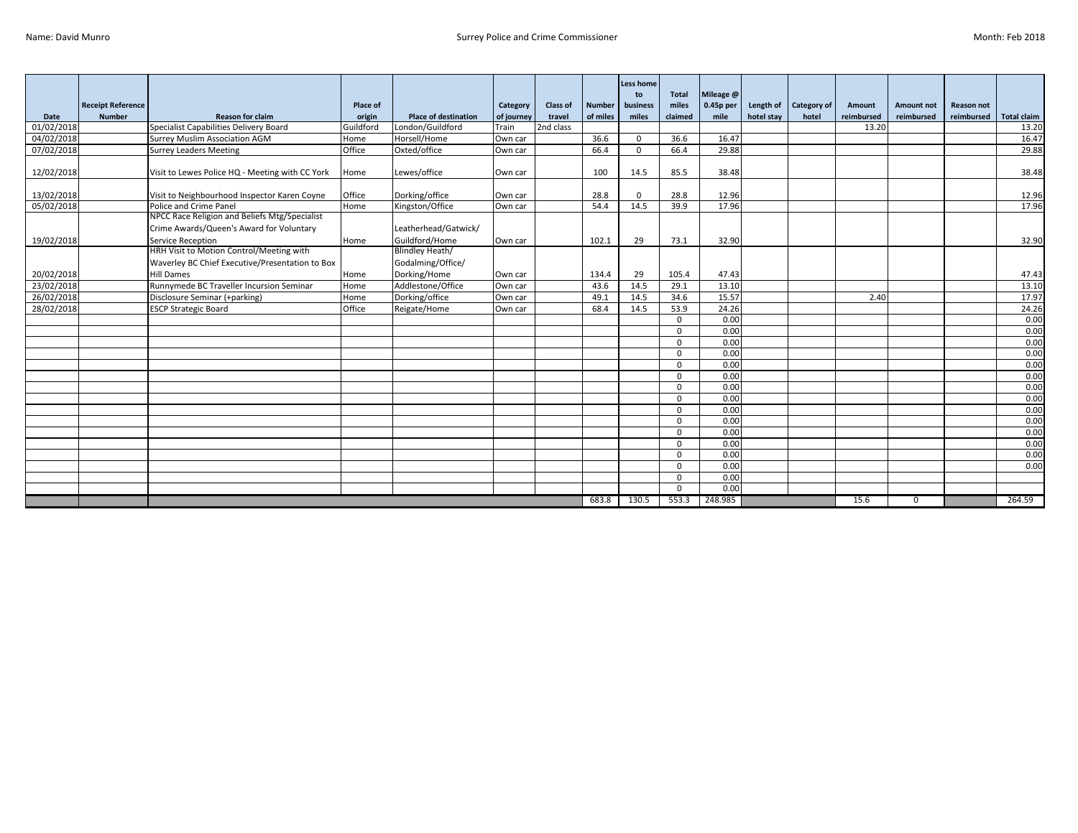|            |                          |                                                 |           |                             |            |           |               | <b>Less home</b><br>to | <b>Total</b> | Mileage @   |            |             |               |             |                   |                    |
|------------|--------------------------|-------------------------------------------------|-----------|-----------------------------|------------|-----------|---------------|------------------------|--------------|-------------|------------|-------------|---------------|-------------|-------------------|--------------------|
|            | <b>Receipt Reference</b> |                                                 | Place of  |                             | Category   | Class of  | <b>Number</b> | business               | miles        | $0.45p$ per | Length of  | Category of | <b>Amount</b> | Amount not  | <b>Reason not</b> |                    |
| Date       | <b>Number</b>            | <b>Reason for claim</b>                         | origin    | <b>Place of destination</b> | of journey | travel    | of miles      | miles                  | claimed      | mile        | hotel stay | hotel       | reimbursed    | reimbursed  | reimbursed        | <b>Total claim</b> |
| 01/02/2018 |                          | Specialist Capabilities Delivery Board          | Guildford | London/Guildford            | Train      | 2nd class |               |                        |              |             |            |             | 13.20         |             |                   | 13.20              |
| 04/02/2018 |                          | <b>Surrey Muslim Association AGM</b>            | Home      | Horsell/Home                | Own car    |           | 36.6          | $\Omega$               | 36.6         | 16.47       |            |             |               |             |                   | 16.47              |
| 07/02/2018 |                          | <b>Surrey Leaders Meeting</b>                   | Office    | Oxted/office                | Own car    |           | 66.4          | $\Omega$               | 66.4         | 29.88       |            |             |               |             |                   | 29.88              |
| 12/02/2018 |                          | Visit to Lewes Police HQ - Meeting with CC York | Home      | Lewes/office                | Own car    |           | 100           | 14.5                   | 85.5         | 38.48       |            |             |               |             |                   | 38.48              |
|            |                          |                                                 |           |                             |            |           |               |                        |              |             |            |             |               |             |                   |                    |
| 13/02/2018 |                          | Visit to Neighbourhood Inspector Karen Coyne    | Office    | Dorking/office              | Own car    |           | 28.8          | $\Omega$               | 28.8         | 12.96       |            |             |               |             |                   | 12.96              |
| 05/02/2018 |                          | Police and Crime Panel                          | Home      | Kingston/Office             | Own car    |           | 54.4          | 14.5                   | 39.9         | 17.96       |            |             |               |             |                   | 17.96              |
|            |                          | NPCC Race Religion and Beliefs Mtg/Specialist   |           |                             |            |           |               |                        |              |             |            |             |               |             |                   |                    |
|            |                          | Crime Awards/Queen's Award for Voluntary        |           | Leatherhead/Gatwick/        |            |           |               |                        |              |             |            |             |               |             |                   |                    |
| 19/02/2018 |                          | Service Reception                               | Home      | Guildford/Home              | Own car    |           | 102.1         | 29                     | 73.1         | 32.90       |            |             |               |             |                   | 32.90              |
|            |                          | HRH Visit to Motion Control/Meeting with        |           | Blindley Heath/             |            |           |               |                        |              |             |            |             |               |             |                   |                    |
|            |                          | Waverley BC Chief Executive/Presentation to Box |           | Godalming/Office/           |            |           |               |                        |              |             |            |             |               |             |                   |                    |
| 20/02/2018 |                          | <b>Hill Dames</b>                               | Home      | Dorking/Home                | Own car    |           | 134.4         | 29                     | 105.4        | 47.43       |            |             |               |             |                   | 47.43              |
| 23/02/2018 |                          | Runnymede BC Traveller Incursion Seminar        | Home      | Addlestone/Office           | Own car    |           | 43.6          | 14.5                   | 29.1         | 13.10       |            |             |               |             |                   | 13.10              |
| 26/02/2018 |                          | Disclosure Seminar (+parking)                   | Home      | Dorking/office              | Own car    |           | 49.1          | 14.5                   | 34.6         | 15.57       |            |             | 2.40          |             |                   | 17.97              |
| 28/02/2018 |                          | <b>ESCP Strategic Board</b>                     | Office    | Reigate/Home                | Own car    |           | 68.4          | 14.5                   | 53.9         | 24.26       |            |             |               |             |                   | 24.26              |
|            |                          |                                                 |           |                             |            |           |               |                        | $\Omega$     | 0.00        |            |             |               |             |                   | 0.00               |
|            |                          |                                                 |           |                             |            |           |               |                        | $\Omega$     | 0.00        |            |             |               |             |                   | 0.00               |
|            |                          |                                                 |           |                             |            |           |               |                        | $\Omega$     | 0.00        |            |             |               |             |                   | 0.00               |
|            |                          |                                                 |           |                             |            |           |               |                        | $\Omega$     | 0.00        |            |             |               |             |                   | 0.00               |
|            |                          |                                                 |           |                             |            |           |               |                        | $\Omega$     | 0.00        |            |             |               |             |                   | 0.00               |
|            |                          |                                                 |           |                             |            |           |               |                        | $\Omega$     | 0.00        |            |             |               |             |                   | 0.00               |
|            |                          |                                                 |           |                             |            |           |               |                        | $\Omega$     | 0.00        |            |             |               |             |                   | 0.00               |
|            |                          |                                                 |           |                             |            |           |               |                        | $\Omega$     | 0.00        |            |             |               |             |                   | 0.00               |
|            |                          |                                                 |           |                             |            |           |               |                        | $\Omega$     | 0.00        |            |             |               |             |                   | 0.00               |
|            |                          |                                                 |           |                             |            |           |               |                        | $\Omega$     | 0.00        |            |             |               |             |                   | 0.00               |
|            |                          |                                                 |           |                             |            |           |               |                        | $\Omega$     | 0.00        |            |             |               |             |                   | 0.00               |
|            |                          |                                                 |           |                             |            |           |               |                        | $\Omega$     | 0.00        |            |             |               |             |                   | 0.00               |
|            |                          |                                                 |           |                             |            |           |               |                        | $\Omega$     | 0.00        |            |             |               |             |                   | 0.00               |
|            |                          |                                                 |           |                             |            |           |               |                        | $\Omega$     | 0.00        |            |             |               |             |                   | 0.00               |
|            |                          |                                                 |           |                             |            |           |               |                        | $\Omega$     | 0.00        |            |             |               |             |                   |                    |
|            |                          |                                                 |           |                             |            |           |               |                        | $\Omega$     | 0.00        |            |             |               |             |                   |                    |
|            |                          |                                                 |           |                             |            |           | 683.8         | 130.5                  | 553.3        | 248.985     |            |             | 15.6          | $\mathbf 0$ |                   | 264.59             |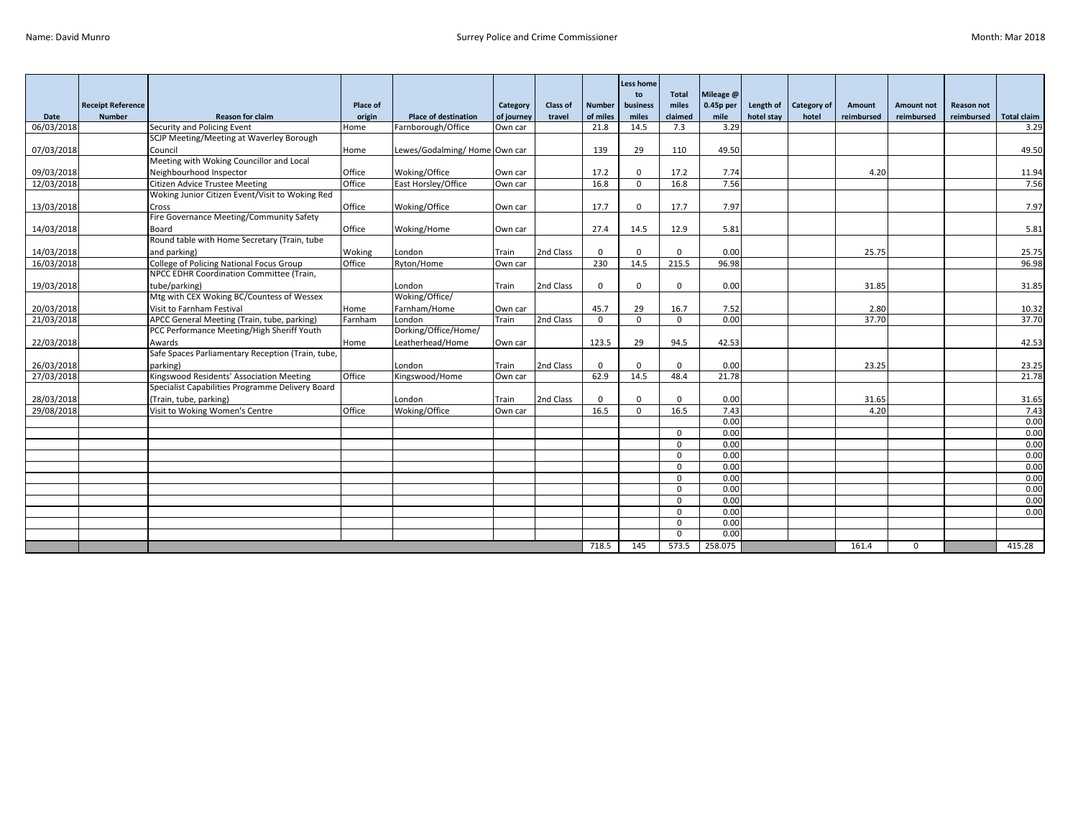|            |                          |                                                   |          |                              |            |           |               | <b>Less home</b><br>to | <b>Total</b> | Mileage @ |            |                    |            |                |                   |                    |
|------------|--------------------------|---------------------------------------------------|----------|------------------------------|------------|-----------|---------------|------------------------|--------------|-----------|------------|--------------------|------------|----------------|-------------------|--------------------|
|            | <b>Receipt Reference</b> |                                                   | Place of |                              | Category   | Class of  | <b>Number</b> | business               | miles        | 0.45p per | Length of  | <b>Category of</b> | Amount     | Amount not     | <b>Reason not</b> |                    |
| Date       | <b>Number</b>            | <b>Reason for claim</b>                           | origin   | <b>Place of destination</b>  | of journey | travel    | of miles      | miles                  | claimed      | mile      | hotel stay | hotel              | reimbursed | reimbursed     | reimbursed        | <b>Total claim</b> |
| 06/03/2018 |                          | Security and Policing Event                       | Home     | Farnborough/Office           | Own car    |           | 21.8          | 14.5                   | 7.3          | 3.29      |            |                    |            |                |                   | 3.29               |
|            |                          | SCJP Meeting/Meeting at Waverley Borough          |          |                              |            |           |               |                        |              |           |            |                    |            |                |                   |                    |
| 07/03/2018 |                          | Council                                           | Home     | Lewes/Godalming/Home Own car |            |           | 139           | 29                     | 110          | 49.50     |            |                    |            |                |                   | 49.50              |
|            |                          | Meeting with Woking Councillor and Local          |          |                              |            |           |               |                        |              |           |            |                    |            |                |                   |                    |
| 09/03/2018 |                          | Neighbourhood Inspector                           | Office   | Woking/Office                | Own car    |           | 17.2          | $\Omega$               | 17.2         | 7.74      |            |                    | 4.20       |                |                   | 11.94              |
| 12/03/2018 |                          | <b>Citizen Advice Trustee Meeting</b>             | Office   | East Horsley/Office          | Own car    |           | 16.8          | $\Omega$               | 16.8         | 7.56      |            |                    |            |                |                   | 7.56               |
|            |                          | Woking Junior Citizen Event/Visit to Woking Red   |          |                              |            |           |               |                        |              |           |            |                    |            |                |                   |                    |
| 13/03/2018 |                          | Cross                                             | Office   | Woking/Office                | Own car    |           | 17.7          | $\Omega$               | 17.7         | 7.97      |            |                    |            |                |                   | 7.97               |
|            |                          | Fire Governance Meeting/Community Safety          |          |                              |            |           |               |                        |              |           |            |                    |            |                |                   |                    |
| 14/03/2018 |                          | Board                                             | Office   | Woking/Home                  | Own car    |           | 27.4          | 14.5                   | 12.9         | 5.81      |            |                    |            |                |                   | 5.81               |
|            |                          | Round table with Home Secretary (Train, tube      |          |                              |            |           |               |                        |              |           |            |                    |            |                |                   |                    |
| 14/03/2018 |                          | and parking)                                      | Woking   | London                       | Train      | 2nd Class | $\Omega$      | $\Omega$               | $\Omega$     | 0.00      |            |                    | 25.75      |                |                   | 25.75              |
| 16/03/2018 |                          | College of Policing National Focus Group          | Office   | Ryton/Home                   | Own car    |           | 230           | 14.5                   | 215.5        | 96.98     |            |                    |            |                |                   | 96.98              |
|            |                          | NPCC EDHR Coordination Committee (Train,          |          |                              |            |           |               |                        |              |           |            |                    |            |                |                   |                    |
| 19/03/2018 |                          | tube/parking)                                     |          | London                       | Train      | 2nd Class | $\mathbf 0$   | $\Omega$               | $\Omega$     | 0.00      |            |                    | 31.85      |                |                   | 31.85              |
|            |                          | Mtg with CEX Woking BC/Countess of Wessex         |          | Woking/Office/               |            |           |               |                        |              |           |            |                    |            |                |                   |                    |
| 20/03/2018 |                          | Visit to Farnham Festival                         | Home     | Farnham/Home                 | Own car    |           | 45.7          | 29                     | 16.7         | 7.52      |            |                    | 2.80       |                |                   | 10.32              |
| 21/03/2018 |                          | APCC General Meeting (Train, tube, parking)       | Farnham  | London                       | Train      | 2nd Class | $\Omega$      | $\Omega$               | $\Omega$     | 0.00      |            |                    | 37.70      |                |                   | 37.70              |
|            |                          | PCC Performance Meeting/High Sheriff Youth        |          | Dorking/Office/Home/         |            |           |               |                        |              |           |            |                    |            |                |                   |                    |
| 22/03/2018 |                          | Awards                                            | Home     | Leatherhead/Home             | Own car    |           | 123.5         | 29                     | 94.5         | 42.53     |            |                    |            |                |                   | 42.53              |
|            |                          | Safe Spaces Parliamentary Reception (Train, tube, |          |                              |            |           |               |                        |              |           |            |                    |            |                |                   |                    |
| 26/03/2018 |                          | parking)                                          |          | London                       | Train      | 2nd Class | $\Omega$      | $\Omega$               | $\Omega$     | 0.00      |            |                    | 23.25      |                |                   | 23.25              |
| 27/03/2018 |                          | Kingswood Residents' Association Meeting          | Office   | Kingswood/Home               | Own car    |           | 62.9          | 14.5                   | 48.4         | 21.78     |            |                    |            |                |                   | 21.78              |
|            |                          | Specialist Capabilities Programme Delivery Board  |          |                              |            |           |               |                        |              |           |            |                    |            |                |                   |                    |
| 28/03/2018 |                          | (Train, tube, parking)                            |          | London                       | Train      | 2nd Class | $\Omega$      | $\Omega$               | $\Omega$     | 0.00      |            |                    | 31.65      |                |                   | 31.65              |
| 29/08/2018 |                          | Visit to Woking Women's Centre                    | Office   | Woking/Office                | Own car    |           | 16.5          | $\Omega$               | 16.5         | 7.43      |            |                    | 4.20       |                |                   | 7.43               |
|            |                          |                                                   |          |                              |            |           |               |                        |              | 0.00      |            |                    |            |                |                   | 0.00               |
|            |                          |                                                   |          |                              |            |           |               |                        | $\Omega$     | 0.00      |            |                    |            |                |                   | 0.00               |
|            |                          |                                                   |          |                              |            |           |               |                        | $\Omega$     | 0.00      |            |                    |            |                |                   | 0.00               |
|            |                          |                                                   |          |                              |            |           |               |                        | $\mathbf{0}$ | 0.00      |            |                    |            |                |                   | 0.00               |
|            |                          |                                                   |          |                              |            |           |               |                        | $\Omega$     | 0.00      |            |                    |            |                |                   | 0.00               |
|            |                          |                                                   |          |                              |            |           |               |                        | $\Omega$     | 0.00      |            |                    |            |                |                   | 0.00               |
|            |                          |                                                   |          |                              |            |           |               |                        | $\Omega$     | 0.00      |            |                    |            |                |                   | 0.00               |
|            |                          |                                                   |          |                              |            |           |               |                        | $\Omega$     | 0.00      |            |                    |            |                |                   | 0.00               |
|            |                          |                                                   |          |                              |            |           |               |                        | $\Omega$     | 0.00      |            |                    |            |                |                   | 0.00               |
|            |                          |                                                   |          |                              |            |           |               |                        | $\Omega$     | 0.00      |            |                    |            |                |                   |                    |
|            |                          |                                                   |          |                              |            |           |               |                        | $\Omega$     | 0.00      |            |                    |            |                |                   |                    |
|            |                          |                                                   |          |                              |            |           | 718.5         | 145                    | 573.5        | 258.075   |            |                    | 161.4      | $\overline{0}$ |                   | 415.28             |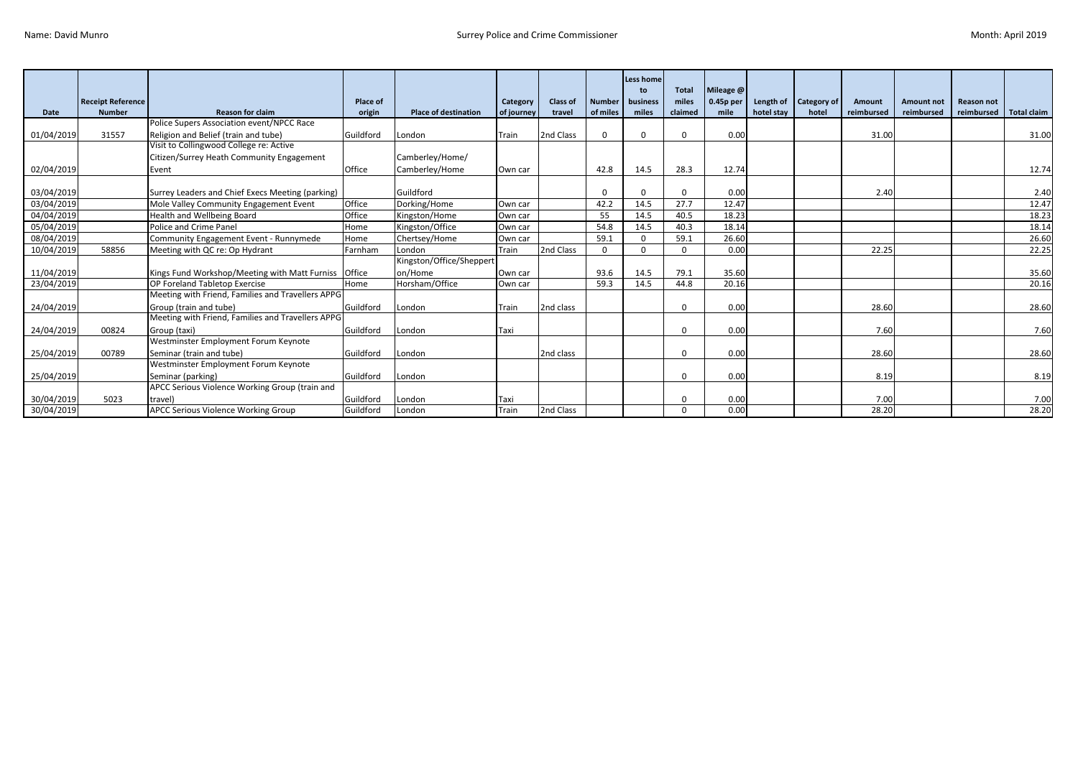|            |                          |                                                   |                 |                             |            |                 |               | Less home<br>to | <b>Total</b> | Mileage @   |            |                    |            |                   |                   |                    |
|------------|--------------------------|---------------------------------------------------|-----------------|-----------------------------|------------|-----------------|---------------|-----------------|--------------|-------------|------------|--------------------|------------|-------------------|-------------------|--------------------|
|            | <b>Receipt Reference</b> |                                                   | <b>Place of</b> |                             | Category   | <b>Class of</b> | <b>Number</b> | business        | miles        | $0.45p$ per | Length of  | <b>Category of</b> | Amount     | <b>Amount not</b> | <b>Reason not</b> |                    |
| Date       | <b>Number</b>            | <b>Reason for claim</b>                           | origin          | <b>Place of destination</b> | of journey | travel          | of miles      | miles           | claimed      | mile        | hotel stay | hotel              | reimbursed | reimbursed        | reimbursed        | <b>Total claim</b> |
|            |                          | Police Supers Association event/NPCC Race         |                 |                             |            |                 |               |                 |              |             |            |                    |            |                   |                   |                    |
| 01/04/2019 | 31557                    | Religion and Belief (train and tube)              | Guildford       | London                      | Train      | 2nd Class       | $\Omega$      | <sup>0</sup>    | <sup>0</sup> | 0.00        |            |                    | 31.00      |                   |                   | 31.00              |
|            |                          | Visit to Collingwood College re: Active           |                 |                             |            |                 |               |                 |              |             |            |                    |            |                   |                   |                    |
|            |                          | Citizen/Surrey Heath Community Engagement         |                 | Camberley/Home/             |            |                 |               |                 |              |             |            |                    |            |                   |                   |                    |
| 02/04/2019 |                          | Event                                             | Office          | Camberley/Home              | Own car    |                 | 42.8          | 14.5            | 28.3         | 12.74       |            |                    |            |                   |                   | 12.74              |
|            |                          |                                                   |                 |                             |            |                 |               |                 |              |             |            |                    |            |                   |                   |                    |
| 03/04/2019 |                          | Surrey Leaders and Chief Execs Meeting (parking)  |                 | Guildford                   |            |                 | $\Omega$      | <sup>0</sup>    | <sup>n</sup> | 0.00        |            |                    | 2.40       |                   |                   | 2.40               |
| 03/04/2019 |                          | Mole Valley Community Engagement Event            | Office          | Dorking/Home                | Own car    |                 | 42.2          | 14.5            | 27.7         | 12.47       |            |                    |            |                   |                   | 12.47              |
| 04/04/2019 |                          | Health and Wellbeing Board                        | Office          | Kingston/Home               | Own car    |                 | 55            | 14.5            | 40.5         | 18.23       |            |                    |            |                   |                   | 18.23              |
| 05/04/2019 |                          | Police and Crime Panel                            | Home            | Kingston/Office             | Own car    |                 | 54.8          | 14.5            | 40.3         | 18.14       |            |                    |            |                   |                   | 18.14              |
| 08/04/2019 |                          | Community Engagement Event - Runnymede            | Home            | Chertsey/Home               | Own car    |                 | 59.1          | $\Omega$        | 59.1         | 26.60       |            |                    |            |                   |                   | 26.60              |
| 10/04/2019 | 58856                    | Meeting with QC re: Op Hydrant                    | Farnham         | London                      | Train      | 2nd Class       | $\Omega$      | $\Omega$        | <sup>n</sup> | 0.00        |            |                    | 22.25      |                   |                   | 22.25              |
|            |                          |                                                   |                 | Kingston/Office/Sheppert    |            |                 |               |                 |              |             |            |                    |            |                   |                   |                    |
| 11/04/2019 |                          | Kings Fund Workshop/Meeting with Matt Furniss     | Office          | on/Home                     | Own car    |                 | 93.6          | 14.5            | 79.1         | 35.60       |            |                    |            |                   |                   | 35.60              |
| 23/04/2019 |                          | OP Foreland Tabletop Exercise                     | Home            | Horsham/Office              | Own car    |                 | 59.3          | 14.5            | 44.8         | 20.16       |            |                    |            |                   |                   | 20.16              |
|            |                          | Meeting with Friend, Families and Travellers APPG |                 |                             |            |                 |               |                 |              |             |            |                    |            |                   |                   |                    |
| 24/04/2019 |                          | Group (train and tube)                            | Guildford       | London                      | Train      | 2nd class       |               |                 | <sup>n</sup> | 0.00        |            |                    | 28.60      |                   |                   | 28.60              |
|            |                          | Meeting with Friend, Families and Travellers APPG |                 |                             |            |                 |               |                 |              |             |            |                    |            |                   |                   |                    |
| 24/04/2019 | 00824                    | Group (taxi)                                      | Guildford       | London                      | Taxi       |                 |               |                 |              | 0.00        |            |                    | 7.60       |                   |                   | 7.60               |
|            |                          | Westminster Employment Forum Keynote              |                 |                             |            |                 |               |                 |              |             |            |                    |            |                   |                   |                    |
| 25/04/2019 | 00789                    | Seminar (train and tube)                          | Guildford       | London                      |            | 2nd class       |               |                 | $\Omega$     | 0.00        |            |                    | 28.60      |                   |                   | 28.60              |
|            |                          | Westminster Employment Forum Keynote              |                 |                             |            |                 |               |                 |              |             |            |                    |            |                   |                   |                    |
| 25/04/2019 |                          | Seminar (parking)                                 | Guildford       | London                      |            |                 |               |                 | $\Omega$     | 0.00        |            |                    | 8.19       |                   |                   | 8.19               |
|            |                          | APCC Serious Violence Working Group (train and    |                 |                             |            |                 |               |                 |              |             |            |                    |            |                   |                   |                    |
| 30/04/2019 | 5023                     | travel                                            | Guildford       | London                      | Taxi       |                 |               |                 | $\Omega$     | 0.00        |            |                    | 7.00       |                   |                   | 7.00               |
| 30/04/2019 |                          | APCC Serious Violence Working Group               | Guildford       | London                      | Train      | 2nd Class       |               |                 | <sup>n</sup> | 0.00        |            |                    | 28.20      |                   |                   | 28.20              |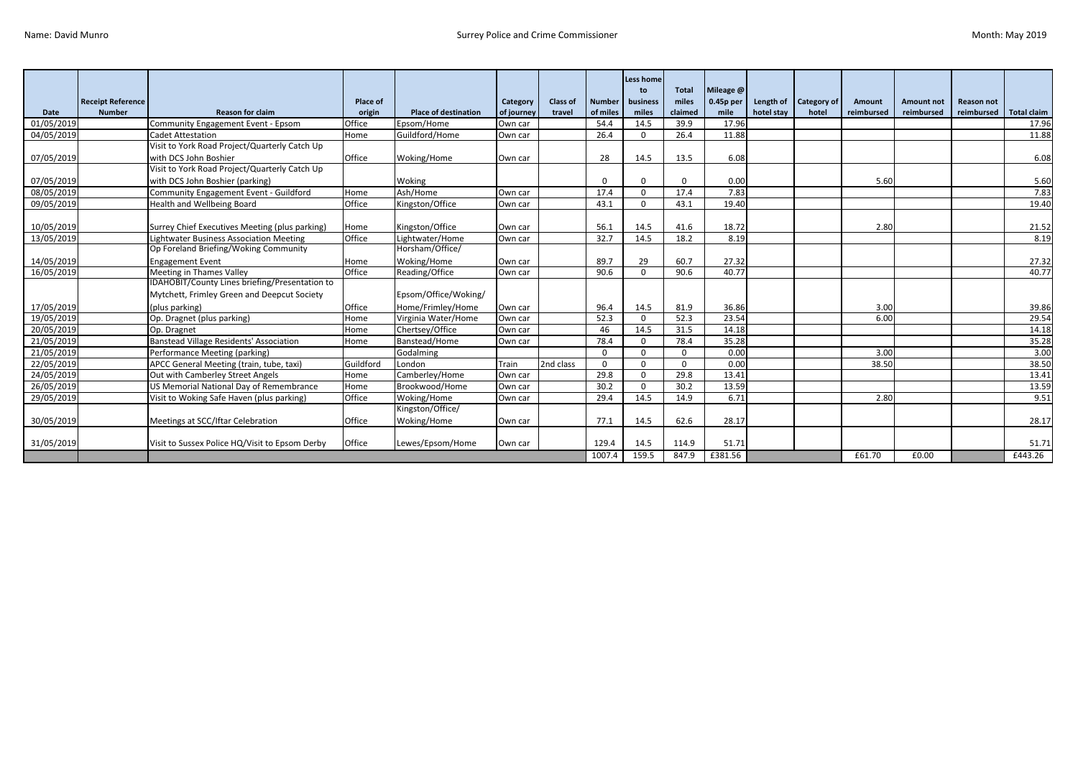|            |                          |                                                |                 |                             |            |                 |               | <b>Less home</b> |                |                        |            |                             |                      |            |                   |                    |
|------------|--------------------------|------------------------------------------------|-----------------|-----------------------------|------------|-----------------|---------------|------------------|----------------|------------------------|------------|-----------------------------|----------------------|------------|-------------------|--------------------|
|            | <b>Receipt Reference</b> |                                                | <b>Place of</b> |                             | Category   | <b>Class of</b> | <b>Number</b> | to<br>business   | Total<br>miles | Mileage @<br>0.45p per | Length of  |                             |                      | Amount not | <b>Reason not</b> |                    |
| Date       | <b>Number</b>            | <b>Reason for claim</b>                        | origin          | <b>Place of destination</b> | of journey | travel          | of miles      | miles            | claimed        | mile                   | hotel stav | <b>Category of</b><br>hotel | Amount<br>reimbursed | reimbursed | reimbursed        | <b>Total claim</b> |
| 01/05/2019 |                          | Community Engagement Event - Epsom             | Office          | Epsom/Home                  | Own car    |                 | 54.4          | 14.5             | 39.9           | 17.96                  |            |                             |                      |            |                   | 17.96              |
| 04/05/2019 |                          | <b>Cadet Attestation</b>                       | Home            | Guildford/Home              | Own car    |                 | 26.4          | $\Omega$         | 26.4           | 11.88                  |            |                             |                      |            |                   | 11.88              |
|            |                          | Visit to York Road Project/Quarterly Catch Up  |                 |                             |            |                 |               |                  |                |                        |            |                             |                      |            |                   |                    |
| 07/05/2019 |                          | with DCS John Boshier                          | Office          | Woking/Home                 | Own car    |                 | 28            | 14.5             | 13.5           | 6.08                   |            |                             |                      |            |                   | 6.08               |
|            |                          | Visit to York Road Project/Quarterly Catch Up  |                 |                             |            |                 |               |                  |                |                        |            |                             |                      |            |                   |                    |
| 07/05/2019 |                          | with DCS John Boshier (parking)                |                 | Woking                      |            |                 | $\Omega$      | U                |                | 0.00                   |            |                             | 5.60                 |            |                   | 5.60               |
| 08/05/2019 |                          | Community Engagement Event - Guildford         | Home            | Ash/Home                    | Own car    |                 | 17.4          | $\Omega$         | 17.4           | 7.83                   |            |                             |                      |            |                   | 7.83               |
| 09/05/2019 |                          | Health and Wellbeing Board                     | Office          | Kingston/Office             | Own car    |                 | 43.1          | $\Omega$         | 43.1           | 19.40                  |            |                             |                      |            |                   | 19.40              |
|            |                          |                                                |                 |                             |            |                 |               |                  |                |                        |            |                             |                      |            |                   |                    |
| 10/05/2019 |                          | Surrey Chief Executives Meeting (plus parking) | Home            | Kingston/Office             | Own car    |                 | 56.1          | 14.5             | 41.6           | 18.72                  |            |                             | 2.80                 |            |                   | 21.52              |
| 13/05/2019 |                          | <b>Lightwater Business Association Meeting</b> | Office          | Lightwater/Home             | Own car    |                 | 32.7          | 14.5             | 18.2           | 8.19                   |            |                             |                      |            |                   | 8.19               |
|            |                          | Op Foreland Briefing/Woking Community          |                 | Horsham/Office/             |            |                 |               |                  |                |                        |            |                             |                      |            |                   |                    |
| 14/05/2019 |                          | <b>Engagement Event</b>                        | Home            | Woking/Home                 | Own car    |                 | 89.7          | 29               | 60.7           | 27.32                  |            |                             |                      |            |                   | 27.32              |
| 16/05/2019 |                          | Meeting in Thames Valley                       | Office          | Reading/Office              | Own car    |                 | 90.6          | $\Omega$         | 90.6           | 40.77                  |            |                             |                      |            |                   | 40.77              |
|            |                          | IDAHOBIT/County Lines briefing/Presentation to |                 |                             |            |                 |               |                  |                |                        |            |                             |                      |            |                   |                    |
|            |                          | Mytchett, Frimley Green and Deepcut Society    |                 | Epsom/Office/Woking/        |            |                 |               |                  |                |                        |            |                             |                      |            |                   |                    |
| 17/05/2019 |                          | (plus parking)                                 | Office          | Home/Frimley/Home           | Own car    |                 | 96.4          | 14.5             | 81.9           | 36.86                  |            |                             | 3.00                 |            |                   | 39.86              |
| 19/05/2019 |                          | Op. Dragnet (plus parking)                     | Home            | Virginia Water/Home         | Own car    |                 | 52.3          | $\Omega$         | 52.3           | 23.54                  |            |                             | 6.00                 |            |                   | 29.54              |
| 20/05/2019 |                          | Op. Dragnet                                    | Home            | Chertsey/Office             | Own car    |                 | 46            | 14.5             | 31.5           | 14.18                  |            |                             |                      |            |                   | 14.18              |
| 21/05/2019 |                          | <b>Banstead Village Residents' Association</b> | Home            | Banstead/Home               | Own car    |                 | 78.4          | $\Omega$         | 78.4           | 35.28                  |            |                             |                      |            |                   | 35.28              |
| 21/05/2019 |                          | Performance Meeting (parking)                  |                 | Godalming                   |            |                 | $\Omega$      | $\Omega$         | $\Omega$       | 0.00                   |            |                             | 3.00                 |            |                   | 3.00               |
| 22/05/2019 |                          | APCC General Meeting (train, tube, taxi)       | Guildford       | London                      | Train      | 2nd class       | $\Omega$      | $\Omega$         | $\Omega$       | 0.00                   |            |                             | 38.50                |            |                   | 38.50              |
| 24/05/2019 |                          | Out with Camberley Street Angels               | Home            | Camberley/Home              | Own car    |                 | 29.8          | $\Omega$         | 29.8           | 13.41                  |            |                             |                      |            |                   | 13.41              |
| 26/05/2019 |                          | US Memorial National Day of Remembrance        | Home            | Brookwood/Home              | Own car    |                 | 30.2          | $\Omega$         | 30.2           | 13.59                  |            |                             |                      |            |                   | 13.59              |
| 29/05/2019 |                          | Visit to Woking Safe Haven (plus parking)      | Office          | Woking/Home                 | Own car    |                 | 29.4          | 14.5             | 14.9           | 6.71                   |            |                             | 2.80                 |            |                   | 9.51               |
|            |                          |                                                |                 | Kingston/Office/            |            |                 |               |                  |                |                        |            |                             |                      |            |                   |                    |
| 30/05/2019 |                          | Meetings at SCC/Iftar Celebration              | Office          | Woking/Home                 | Own car    |                 | 77.1          | 14.5             | 62.6           | 28.17                  |            |                             |                      |            |                   | 28.17              |
|            |                          |                                                |                 |                             |            |                 |               |                  |                |                        |            |                             |                      |            |                   |                    |
| 31/05/2019 |                          | Visit to Sussex Police HQ/Visit to Epsom Derby | Office          | Lewes/Epsom/Home            | Own car    |                 | 129.4         | 14.5             | 114.9          | 51.71                  |            |                             |                      |            |                   | 51.71              |
|            |                          |                                                |                 |                             |            |                 | 1007.4        | 159.5            | 847.9          | £381.56                |            |                             | £61.70               | £0.00      |                   | £443.26            |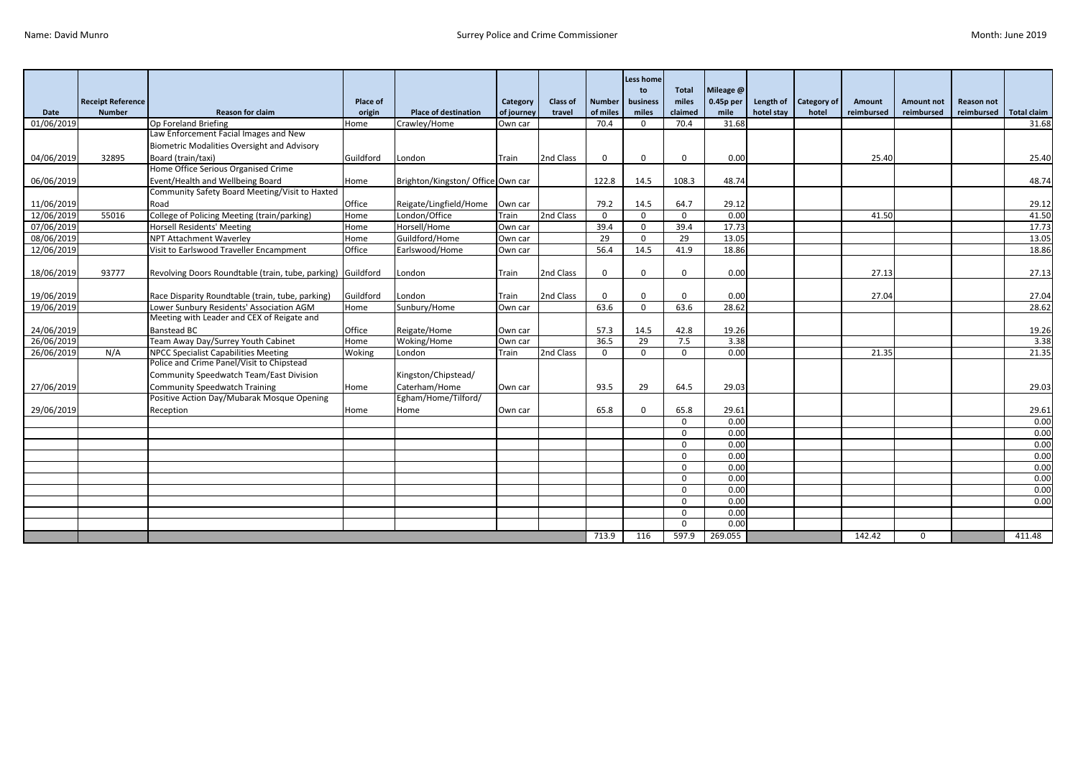|            |                          |                                                               |                 |                                   |            |                 |               | Less home<br>to | <b>Total</b> | Mileage @     |            |                    |            |                   |                   |                    |
|------------|--------------------------|---------------------------------------------------------------|-----------------|-----------------------------------|------------|-----------------|---------------|-----------------|--------------|---------------|------------|--------------------|------------|-------------------|-------------------|--------------------|
|            | <b>Receipt Reference</b> |                                                               | <b>Place of</b> |                                   | Category   | <b>Class of</b> | <b>Number</b> | business        | miles        | 0.45p per     | Length of  | <b>Category of</b> | Amount     | <b>Amount not</b> | <b>Reason not</b> |                    |
| Date       | <b>Number</b>            | <b>Reason for claim</b>                                       | origin          | <b>Place of destination</b>       | of journey | travel          | of miles      | miles           | claimed      | mile<br>31.68 | hotel stay | hotel              | reimbursed | reimbursed        | reimbursed        | <b>Total claim</b> |
| 01/06/2019 |                          | Op Foreland Briefing<br>Law Enforcement Facial Images and New | Home            | Crawley/Home                      | Own car    |                 | 70.4          | $\Omega$        | 70.4         |               |            |                    |            |                   |                   | 31.68              |
|            |                          |                                                               |                 |                                   |            |                 |               |                 |              |               |            |                    |            |                   |                   |                    |
|            |                          | <b>Biometric Modalities Oversight and Advisory</b>            |                 |                                   |            |                 |               |                 |              |               |            |                    |            |                   |                   |                    |
| 04/06/2019 | 32895                    | Board (train/taxi)                                            | Guildford       | London                            | Train      | 2nd Class       | $\mathbf 0$   | 0               | $\mathbf{0}$ | 0.00          |            |                    | 25.40      |                   |                   | 25.40              |
|            |                          | Home Office Serious Organised Crime                           |                 |                                   |            |                 |               |                 |              |               |            |                    |            |                   |                   |                    |
| 06/06/2019 |                          | Event/Health and Wellbeing Board                              | Home            | Brighton/Kingston/ Office Own car |            |                 | 122.8         | 14.5            | 108.3        | 48.74         |            |                    |            |                   |                   | 48.74              |
|            |                          | Community Safety Board Meeting/Visit to Haxted                |                 |                                   |            |                 |               |                 |              |               |            |                    |            |                   |                   |                    |
| 11/06/2019 |                          | Road                                                          | Office          | Reigate/Lingfield/Home            | Own car    |                 | 79.2          | 14.5            | 64.7         | 29.12         |            |                    |            |                   |                   | 29.12              |
| 12/06/2019 | 55016                    | College of Policing Meeting (train/parking)                   | Home            | London/Office                     | Train      | 2nd Class       | $\mathbf{0}$  | $\Omega$        | $\Omega$     | 0.00          |            |                    | 41.50      |                   |                   | 41.50              |
| 07/06/2019 |                          | <b>Horsell Residents' Meeting</b>                             | Home            | Horsell/Home                      | Own car    |                 | 39.4          | $\Omega$        | 39.4         | 17.73         |            |                    |            |                   |                   | 17.73              |
| 08/06/2019 |                          | NPT Attachment Waverley                                       | Home            | Guildford/Home                    | Own car    |                 | 29            | $\Omega$        | 29           | 13.05         |            |                    |            |                   |                   | 13.05              |
| 12/06/2019 |                          | Visit to Earlswood Traveller Encampment                       | Office          | Earlswood/Home                    | Own car    |                 | 56.4          | 14.5            | 41.9         | 18.86         |            |                    |            |                   |                   | 18.86              |
|            |                          |                                                               |                 |                                   |            |                 |               |                 |              |               |            |                    |            |                   |                   |                    |
| 18/06/2019 | 93777                    | Revolving Doors Roundtable (train, tube, parking) Guildford   |                 | London                            | Train      | 2nd Class       | $\mathbf 0$   | $\Omega$        | $\Omega$     | 0.00          |            |                    | 27.13      |                   |                   | 27.13              |
|            |                          |                                                               |                 |                                   |            |                 |               |                 |              |               |            |                    |            |                   |                   |                    |
| 19/06/2019 |                          | Race Disparity Roundtable (train, tube, parking)              | Guildford       | London                            | Train      | 2nd Class       | $\mathbf 0$   | $\Omega$        | $\Omega$     | 0.00          |            |                    | 27.04      |                   |                   | 27.04              |
| 19/06/2019 |                          | Lower Sunbury Residents' Association AGM                      | Home            | Sunbury/Home                      | Own car    |                 | 63.6          | $\Omega$        | 63.6         | 28.62         |            |                    |            |                   |                   | 28.62              |
|            |                          | Meeting with Leader and CEX of Reigate and                    |                 |                                   |            |                 |               |                 |              |               |            |                    |            |                   |                   |                    |
| 24/06/2019 |                          | <b>Banstead BC</b>                                            | Office          | Reigate/Home                      | Own car    |                 | 57.3          | 14.5            | 42.8         | 19.26         |            |                    |            |                   |                   | 19.26              |
| 26/06/2019 |                          | Team Away Day/Surrey Youth Cabinet                            | Home            | Woking/Home                       | Own car    |                 | 36.5          | 29              | 7.5          | 3.38          |            |                    |            |                   |                   | 3.38               |
| 26/06/2019 | N/A                      | NPCC Specialist Capabilities Meeting                          | Woking          | London                            | Train      | 2nd Class       | $\mathbf{0}$  | $\Omega$        | $\mathbf 0$  | 0.00          |            |                    | 21.35      |                   |                   | 21.35              |
|            |                          | Police and Crime Panel/Visit to Chipstead                     |                 |                                   |            |                 |               |                 |              |               |            |                    |            |                   |                   |                    |
|            |                          | Community Speedwatch Team/East Division                       |                 | Kingston/Chipstead/               |            |                 |               |                 |              |               |            |                    |            |                   |                   |                    |
| 27/06/2019 |                          | <b>Community Speedwatch Training</b>                          | Home            | Caterham/Home                     | Own car    |                 | 93.5          | 29              | 64.5         | 29.03         |            |                    |            |                   |                   | 29.03              |
|            |                          | Positive Action Day/Mubarak Mosque Opening                    |                 | Egham/Home/Tilford/               |            |                 |               |                 |              |               |            |                    |            |                   |                   |                    |
| 29/06/2019 |                          | Reception                                                     | Home            | Home                              | Own car    |                 | 65.8          | 0               | 65.8         | 29.61         |            |                    |            |                   |                   | 29.61              |
|            |                          |                                                               |                 |                                   |            |                 |               |                 | $\Omega$     | 0.00          |            |                    |            |                   |                   | 0.00               |
|            |                          |                                                               |                 |                                   |            |                 |               |                 | $\Omega$     | 0.00          |            |                    |            |                   |                   | 0.00               |
|            |                          |                                                               |                 |                                   |            |                 |               |                 | $\mathbf{0}$ | 0.00          |            |                    |            |                   |                   | 0.00               |
|            |                          |                                                               |                 |                                   |            |                 |               |                 | $\Omega$     | 0.00          |            |                    |            |                   |                   | 0.00               |
|            |                          |                                                               |                 |                                   |            |                 |               |                 | $\Omega$     | 0.00          |            |                    |            |                   |                   | 0.00               |
|            |                          |                                                               |                 |                                   |            |                 |               |                 | $\Omega$     | 0.00          |            |                    |            |                   |                   | 0.00               |
|            |                          |                                                               |                 |                                   |            |                 |               |                 | $\Omega$     | 0.00          |            |                    |            |                   |                   | 0.00               |
|            |                          |                                                               |                 |                                   |            |                 |               |                 | $\mathbf 0$  | 0.00          |            |                    |            |                   |                   | 0.00               |
|            |                          |                                                               |                 |                                   |            |                 |               |                 | $\Omega$     | 0.00          |            |                    |            |                   |                   |                    |
|            |                          |                                                               |                 |                                   |            |                 |               |                 | $\Omega$     | 0.00          |            |                    |            |                   |                   |                    |
|            |                          |                                                               |                 |                                   |            |                 | 713.9         | 116             | 597.9        | 269.055       |            |                    | 142.42     | $\mathbf{0}$      |                   | 411.48             |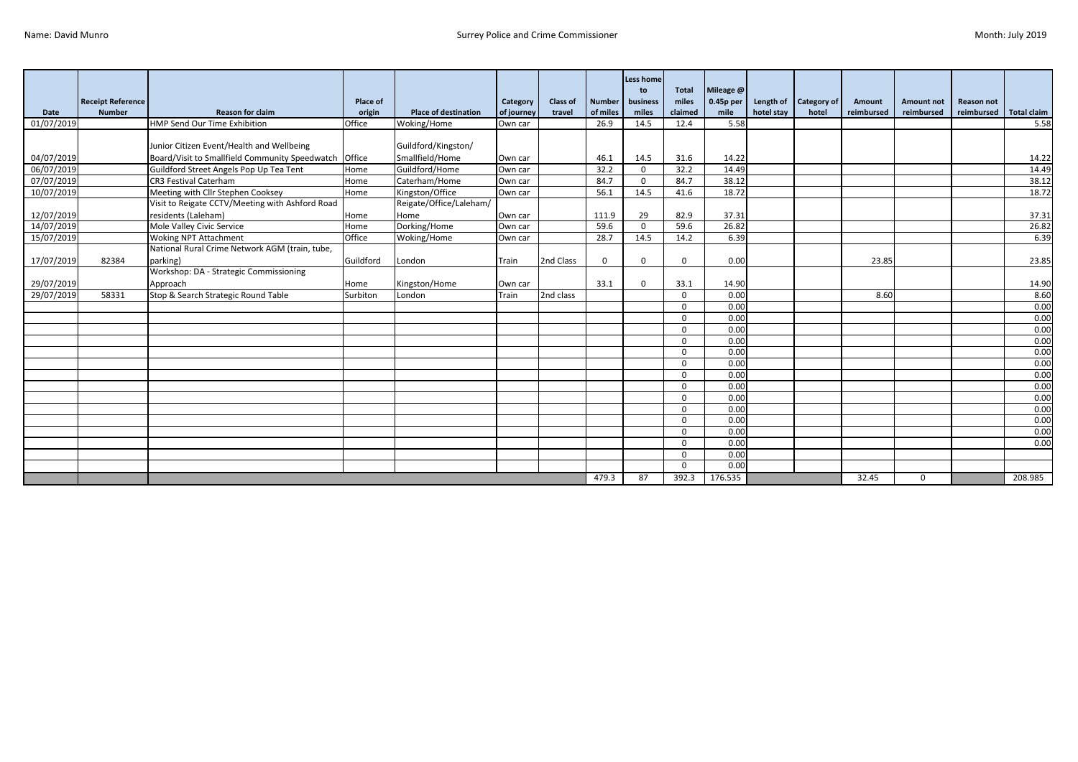|            |                          |                                                       |                 |                             |            |                 |               | <b>Less home</b><br>to | <b>Total</b> | Mileage @   |            |                    |            |                   |                   |                    |
|------------|--------------------------|-------------------------------------------------------|-----------------|-----------------------------|------------|-----------------|---------------|------------------------|--------------|-------------|------------|--------------------|------------|-------------------|-------------------|--------------------|
|            | <b>Receipt Reference</b> |                                                       | <b>Place of</b> |                             | Category   | <b>Class of</b> | <b>Number</b> | business               | miles        | $0.45p$ per | Length of  | <b>Category of</b> | Amount     | <b>Amount not</b> | <b>Reason not</b> |                    |
| Date       | <b>Number</b>            | <b>Reason for claim</b>                               | origin          | <b>Place of destination</b> | of journey | travel          | of miles      | miles                  | claimed      | mile        | hotel stay | hotel              | reimbursed | reimbursed        | reimbursed        | <b>Total claim</b> |
| 01/07/2019 |                          | HMP Send Our Time Exhibition                          | Office          | Woking/Home                 | Own car    |                 | 26.9          | 14.5                   | 12.4         | 5.58        |            |                    |            |                   |                   | 5.58               |
|            |                          |                                                       |                 |                             |            |                 |               |                        |              |             |            |                    |            |                   |                   |                    |
|            |                          | Junior Citizen Event/Health and Wellbeing             |                 | Guildford/Kingston/         |            |                 |               |                        |              |             |            |                    |            |                   |                   |                    |
| 04/07/2019 |                          | Board/Visit to Smallfield Community Speedwatch Office |                 | Smallfield/Home             | Own car    |                 | 46.1          | 14.5                   | 31.6         | 14.22       |            |                    |            |                   |                   | 14.22              |
| 06/07/2019 |                          | Guildford Street Angels Pop Up Tea Tent               | Home            | Guildford/Home              | Own car    |                 | 32.2          | $\Omega$               | 32.2         | 14.49       |            |                    |            |                   |                   | 14.49              |
| 07/07/2019 |                          | CR3 Festival Caterham                                 | Home            | Caterham/Home               | Own car    |                 | 84.7          | $\Omega$               | 84.7         | 38.12       |            |                    |            |                   |                   | 38.12              |
| 10/07/2019 |                          | Meeting with Cllr Stephen Cooksey                     | Home            | Kingston/Office             | Own car    |                 | 56.1          | 14.5                   | 41.6         | 18.72       |            |                    |            |                   |                   | 18.72              |
|            |                          | Visit to Reigate CCTV/Meeting with Ashford Road       |                 | Reigate/Office/Laleham/     |            |                 |               |                        |              |             |            |                    |            |                   |                   |                    |
| 12/07/2019 |                          | residents (Laleham)                                   | Home            | Home                        | Own car    |                 | 111.9         | 29                     | 82.9         | 37.31       |            |                    |            |                   |                   | 37.31              |
| 14/07/2019 |                          | Mole Valley Civic Service                             | Home            | Dorking/Home                | Own car    |                 | 59.6          | $\mathbf 0$            | 59.6         | 26.82       |            |                    |            |                   |                   | 26.82              |
| 15/07/2019 |                          | <b>Woking NPT Attachment</b>                          | Office          | Woking/Home                 | Own car    |                 | 28.7          | 14.5                   | 14.2         | 6.39        |            |                    |            |                   |                   | 6.39               |
|            |                          | National Rural Crime Network AGM (train, tube,        |                 |                             |            |                 |               |                        |              |             |            |                    |            |                   |                   |                    |
| 17/07/2019 | 82384                    | parking)                                              | Guildford       | London                      | Train      | 2nd Class       | $\Omega$      | $\Omega$               | $\Omega$     | 0.00        |            |                    | 23.85      |                   |                   | 23.85              |
|            |                          | Workshop: DA - Strategic Commissioning                |                 |                             |            |                 |               |                        |              |             |            |                    |            |                   |                   |                    |
| 29/07/2019 |                          | Approach                                              | Home            | Kingston/Home               | Own car    |                 | 33.1          | $\Omega$               | 33.1         | 14.90       |            |                    |            |                   |                   | 14.90              |
| 29/07/2019 | 58331                    | Stop & Search Strategic Round Table                   | Surbiton        | London                      | Train      | 2nd class       |               |                        | $\Omega$     | 0.00        |            |                    | 8.60       |                   |                   | 8.60               |
|            |                          |                                                       |                 |                             |            |                 |               |                        | $\Omega$     | 0.00        |            |                    |            |                   |                   | 0.00               |
|            |                          |                                                       |                 |                             |            |                 |               |                        | $\Omega$     | 0.00        |            |                    |            |                   |                   | 0.00               |
|            |                          |                                                       |                 |                             |            |                 |               |                        | $\Omega$     | 0.00        |            |                    |            |                   |                   | 0.00               |
|            |                          |                                                       |                 |                             |            |                 |               |                        | $\Omega$     | 0.00        |            |                    |            |                   |                   | 0.00               |
|            |                          |                                                       |                 |                             |            |                 |               |                        | $\Omega$     | 0.00        |            |                    |            |                   |                   | 0.00               |
|            |                          |                                                       |                 |                             |            |                 |               |                        | $\Omega$     | 0.00        |            |                    |            |                   |                   | 0.00               |
|            |                          |                                                       |                 |                             |            |                 |               |                        | $\Omega$     | 0.00        |            |                    |            |                   |                   | 0.00               |
|            |                          |                                                       |                 |                             |            |                 |               |                        | $\Omega$     | 0.00        |            |                    |            |                   |                   | 0.00               |
|            |                          |                                                       |                 |                             |            |                 |               |                        | $\Omega$     | 0.00        |            |                    |            |                   |                   | 0.00               |
|            |                          |                                                       |                 |                             |            |                 |               |                        | $\Omega$     | 0.00        |            |                    |            |                   |                   | 0.00               |
|            |                          |                                                       |                 |                             |            |                 |               |                        | $\Omega$     | 0.00        |            |                    |            |                   |                   | 0.00               |
|            |                          |                                                       |                 |                             |            |                 |               |                        | $\Omega$     | 0.00        |            |                    |            |                   |                   | 0.00               |
|            |                          |                                                       |                 |                             |            |                 |               |                        | $\Omega$     | 0.00        |            |                    |            |                   |                   | 0.00               |
|            |                          |                                                       |                 |                             |            |                 |               |                        | $\Omega$     | 0.00        |            |                    |            |                   |                   |                    |
|            |                          |                                                       |                 |                             |            |                 |               |                        | $\Omega$     | 0.00        |            |                    |            |                   |                   |                    |
|            |                          |                                                       |                 |                             |            |                 | 479.3         | 87                     | 392.3        | 176.535     |            |                    | 32.45      | $\mathbf 0$       |                   | 208.985            |